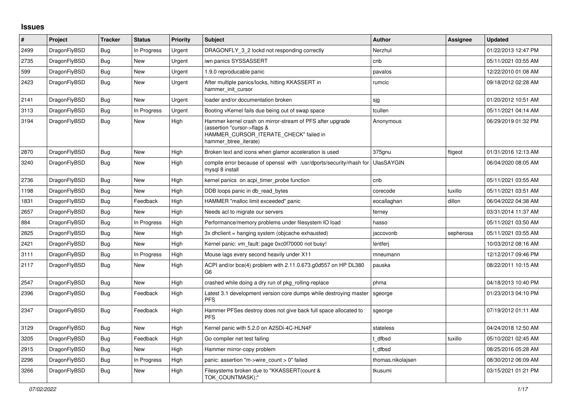## **Issues**

| #    | <b>Project</b> | <b>Tracker</b> | <b>Status</b> | Priority | <b>Subject</b>                                                                                                                                              | <b>Author</b>     | <b>Assignee</b> | <b>Updated</b>      |
|------|----------------|----------------|---------------|----------|-------------------------------------------------------------------------------------------------------------------------------------------------------------|-------------------|-----------------|---------------------|
| 2499 | DragonFlyBSD   | <b>Bug</b>     | In Progress   | Urgent   | DRAGONFLY 3 2 lockd not responding correctly                                                                                                                | Nerzhul           |                 | 01/22/2013 12:47 PM |
| 2735 | DragonFlyBSD   | <b>Bug</b>     | <b>New</b>    | Urgent   | iwn panics SYSSASSERT                                                                                                                                       | cnb               |                 | 05/11/2021 03:55 AM |
| 599  | DragonFlyBSD   | <b>Bug</b>     | <b>New</b>    | Urgent   | 1.9.0 reproducable panic                                                                                                                                    | pavalos           |                 | 12/22/2010 01:08 AM |
| 2423 | DragonFlyBSD   | Bug            | New           | Urgent   | After multiple panics/locks, hitting KKASSERT in<br>hammer init cursor                                                                                      | rumcic            |                 | 09/18/2012 02:28 AM |
| 2141 | DragonFlyBSD   | Bug            | <b>New</b>    | Urgent   | loader and/or documentation broken                                                                                                                          | sjg               |                 | 01/20/2012 10:51 AM |
| 3113 | DragonFlyBSD   | Bug            | In Progress   | Urgent   | Booting vKernel fails due being out of swap space                                                                                                           | tcullen           |                 | 05/11/2021 04:14 AM |
| 3194 | DragonFlyBSD   | <b>Bug</b>     | New           | High     | Hammer kernel crash on mirror-stream of PFS after upgrade<br>(assertion "cursor->flags &<br>HAMMER_CURSOR_ITERATE_CHECK" failed in<br>hammer_btree_iterate) | Anonymous         |                 | 06/29/2019 01:32 PM |
| 2870 | DragonFlyBSD   | Bug            | <b>New</b>    | High     | Broken text and icons when glamor acceleration is used                                                                                                      | 375gnu            | ftigeot         | 01/31/2016 12:13 AM |
| 3240 | DragonFlyBSD   | Bug            | New           | High     | compile error because of openssl with /usr/dports/security/rhash for<br>mysql 8 install                                                                     | <b>UlasSAYGIN</b> |                 | 06/04/2020 08:05 AM |
| 2736 | DragonFlyBSD   | <b>Bug</b>     | New           | High     | kernel panics on acpi timer probe function                                                                                                                  | cnb               |                 | 05/11/2021 03:55 AM |
| 1198 | DragonFlyBSD   | <b>Bug</b>     | <b>New</b>    | High     | DDB loops panic in db read bytes                                                                                                                            | corecode          | tuxillo         | 05/11/2021 03:51 AM |
| 1831 | DragonFlyBSD   | Bug            | Feedback      | High     | HAMMER "malloc limit exceeded" panic                                                                                                                        | eocallaghan       | dillon          | 06/04/2022 04:38 AM |
| 2657 | DragonFlyBSD   | <b>Bug</b>     | <b>New</b>    | High     | Needs acl to migrate our servers                                                                                                                            | ferney            |                 | 03/31/2014 11:37 AM |
| 884  | DragonFlyBSD   | <b>Bug</b>     | In Progress   | High     | Performance/memory problems under filesystem IO load                                                                                                        | hasso             |                 | 05/11/2021 03:50 AM |
| 2825 | DragonFlyBSD   | <b>Bug</b>     | New           | High     | 3x dhclient = hanging system (objcache exhausted)                                                                                                           | jaccovonb         | sepherosa       | 05/11/2021 03:55 AM |
| 2421 | DragonFlyBSD   | <b>Bug</b>     | <b>New</b>    | High     | Kernel panic: vm_fault: page 0xc0f70000 not busy!                                                                                                           | lentferj          |                 | 10/03/2012 08:16 AM |
| 3111 | DragonFlyBSD   | <b>Bug</b>     | In Progress   | High     | Mouse lags every second heavily under X11                                                                                                                   | mneumann          |                 | 12/12/2017 09:46 PM |
| 2117 | DragonFlyBSD   | <b>Bug</b>     | <b>New</b>    | High     | ACPI and/or bce(4) problem with 2.11.0.673.g0d557 on HP DL380<br>G6                                                                                         | pauska            |                 | 08/22/2011 10:15 AM |
| 2547 | DragonFlyBSD   | Bug            | New           | High     | crashed while doing a dry run of pkg rolling-replace                                                                                                        | phma              |                 | 04/18/2013 10:40 PM |
| 2396 | DragonFlyBSD   | Bug            | Feedback      | High     | Latest 3.1 development version core dumps while destroying master<br><b>PFS</b>                                                                             | sgeorge           |                 | 01/23/2013 04:10 PM |
| 2347 | DragonFlyBSD   | Bug            | Feedback      | High     | Hammer PFSes destroy does not give back full space allocated to<br><b>PFS</b>                                                                               | sgeorge           |                 | 07/19/2012 01:11 AM |
| 3129 | DragonFlyBSD   | <b>Bug</b>     | <b>New</b>    | High     | Kernel panic with 5.2.0 on A2SDi-4C-HLN4F                                                                                                                   | stateless         |                 | 04/24/2018 12:50 AM |
| 3205 | DragonFlyBSD   | <b>Bug</b>     | Feedback      | High     | Go compiler net test failing                                                                                                                                | t dfbsd           | tuxillo         | 05/10/2021 02:45 AM |
| 2915 | DragonFlyBSD   | <b>Bug</b>     | <b>New</b>    | High     | Hammer mirror-copy problem                                                                                                                                  | dfbsd             |                 | 08/25/2016 05:28 AM |
| 2296 | DragonFlyBSD   | <b>Bug</b>     | In Progress   | High     | panic: assertion "m->wire_count > 0" failed                                                                                                                 | thomas.nikolajsen |                 | 08/30/2012 06:09 AM |
| 3266 | DragonFlyBSD   | <b>Bug</b>     | <b>New</b>    | High     | Filesystems broken due to "KKASSERT(count &<br>TOK COUNTMASK);"                                                                                             | tkusumi           |                 | 03/15/2021 01:21 PM |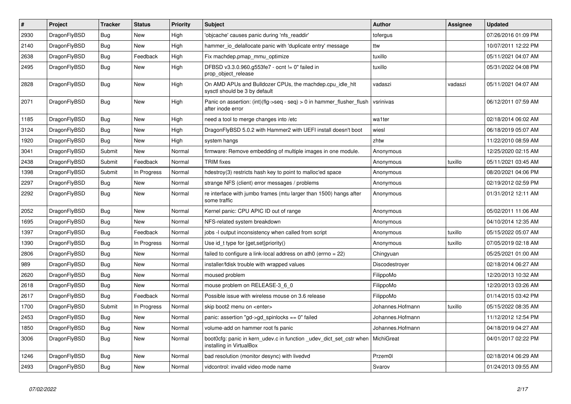| $\vert$ # | Project      | <b>Tracker</b> | <b>Status</b> | <b>Priority</b> | <b>Subject</b>                                                                                 | <b>Author</b>    | Assignee | Updated             |
|-----------|--------------|----------------|---------------|-----------------|------------------------------------------------------------------------------------------------|------------------|----------|---------------------|
| 2930      | DragonFlyBSD | Bug            | New           | High            | 'objcache' causes panic during 'nfs readdir'                                                   | tofergus         |          | 07/26/2016 01:09 PM |
| 2140      | DragonFlyBSD | <b>Bug</b>     | <b>New</b>    | High            | hammer io delallocate panic with 'duplicate entry' message                                     | ttw              |          | 10/07/2011 12:22 PM |
| 2638      | DragonFlyBSD | Bug            | Feedback      | High            | Fix machdep.pmap mmu optimize                                                                  | tuxillo          |          | 05/11/2021 04:07 AM |
| 2495      | DragonFlyBSD | Bug            | New           | High            | DFBSD v3.3.0.960.g553fe7 - ocnt != 0" failed in<br>prop_object_release                         | tuxillo          |          | 05/31/2022 04:08 PM |
| 2828      | DragonFlyBSD | <b>Bug</b>     | New           | High            | On AMD APUs and Bulldozer CPUs, the machdep.cpu_idle_hlt<br>sysctl should be 3 by default      | vadaszi          | vadaszi  | 05/11/2021 04:07 AM |
| 2071      | DragonFlyBSD | <b>Bug</b>     | <b>New</b>    | High            | Panic on assertion: $(int)(flag->seq - seq) > 0$ in hammer flusher flush<br>after inode error  | vsrinivas        |          | 06/12/2011 07:59 AM |
| 1185      | DragonFlyBSD | Bug            | New           | High            | need a tool to merge changes into /etc                                                         | wa1ter           |          | 02/18/2014 06:02 AM |
| 3124      | DragonFlyBSD | <b>Bug</b>     | <b>New</b>    | High            | DragonFlyBSD 5.0.2 with Hammer2 with UEFI install doesn't boot                                 | wiesl            |          | 06/18/2019 05:07 AM |
| 1920      | DragonFlyBSD | <b>Bug</b>     | <b>New</b>    | High            | system hangs                                                                                   | zhtw             |          | 11/22/2010 08:59 AM |
| 3041      | DragonFlyBSD | Submit         | New           | Normal          | firmware: Remove embedding of multiple images in one module.                                   | Anonymous        |          | 12/25/2020 02:15 AM |
| 2438      | DragonFlyBSD | Submit         | Feedback      | Normal          | <b>TRIM</b> fixes                                                                              | Anonymous        | tuxillo  | 05/11/2021 03:45 AM |
| 1398      | DragonFlyBSD | Submit         | In Progress   | Normal          | hdestroy(3) restricts hash key to point to malloc'ed space                                     | Anonymous        |          | 08/20/2021 04:06 PM |
| 2297      | DragonFlyBSD | <b>Bug</b>     | <b>New</b>    | Normal          | strange NFS (client) error messages / problems                                                 | Anonymous        |          | 02/19/2012 02:59 PM |
| 2292      | DragonFlyBSD | <b>Bug</b>     | New           | Normal          | re interface with jumbo frames (mtu larger than 1500) hangs after<br>some traffic              | Anonymous        |          | 01/31/2012 12:11 AM |
| 2052      | DragonFlyBSD | <b>Bug</b>     | <b>New</b>    | Normal          | Kernel panic: CPU APIC ID out of range                                                         | Anonymous        |          | 05/02/2011 11:06 AM |
| 1695      | DragonFlyBSD | Bug            | <b>New</b>    | Normal          | NFS-related system breakdown                                                                   | Anonymous        |          | 04/10/2014 12:35 AM |
| 1397      | DragonFlyBSD | <b>Bug</b>     | Feedback      | Normal          | jobs -I output inconsistency when called from script                                           | Anonymous        | tuxillo  | 05/15/2022 05:07 AM |
| 1390      | DragonFlyBSD | <b>Bug</b>     | In Progress   | Normal          | Use id_t type for {get,set}priority()                                                          | Anonymous        | tuxillo  | 07/05/2019 02:18 AM |
| 2806      | DragonFlyBSD | Bug            | <b>New</b>    | Normal          | failed to configure a link-local address on ath0 (errno = 22)                                  | Chingyuan        |          | 05/25/2021 01:00 AM |
| 989       | DragonFlyBSD | <b>Bug</b>     | New           | Normal          | installer/fdisk trouble with wrapped values                                                    | Discodestroyer   |          | 02/18/2014 06:27 AM |
| 2620      | DragonFlyBSD | <b>Bug</b>     | New           | Normal          | moused problem                                                                                 | FilippoMo        |          | 12/20/2013 10:32 AM |
| 2618      | DragonFlyBSD | <b>Bug</b>     | <b>New</b>    | Normal          | mouse problem on RELEASE-3 6 0                                                                 | FilippoMo        |          | 12/20/2013 03:26 AM |
| 2617      | DragonFlyBSD | <b>Bug</b>     | Feedback      | Normal          | Possible issue with wireless mouse on 3.6 release                                              | FilippoMo        |          | 01/14/2015 03:42 PM |
| 1700      | DragonFlyBSD | Submit         | In Progress   | Normal          | skip boot2 menu on <enter></enter>                                                             | Johannes.Hofmann | tuxillo  | 05/15/2022 08:35 AM |
| 2453      | DragonFlyBSD | <b>Bug</b>     | <b>New</b>    | Normal          | panic: assertion "gd->gd_spinlocks == 0" failed                                                | Johannes.Hofmann |          | 11/12/2012 12:54 PM |
| 1850      | DragonFlyBSD | Bug            | <b>New</b>    | Normal          | volume-add on hammer root fs panic                                                             | Johannes.Hofmann |          | 04/18/2019 04:27 AM |
| 3006      | DragonFlyBSD | Bug            | New           | Normal          | boot0cfg: panic in kern udev.c in function udev dict set cstr when<br>installing in VirtualBox | MichiGreat       |          | 04/01/2017 02:22 PM |
| 1246      | DragonFlyBSD | <b>Bug</b>     | <b>New</b>    | Normal          | bad resolution (monitor desync) with livedvd                                                   | Przem0l          |          | 02/18/2014 06:29 AM |
| 2493      | DragonFlyBSD | Bug            | <b>New</b>    | Normal          | vidcontrol: invalid video mode name                                                            | Svarov           |          | 01/24/2013 09:55 AM |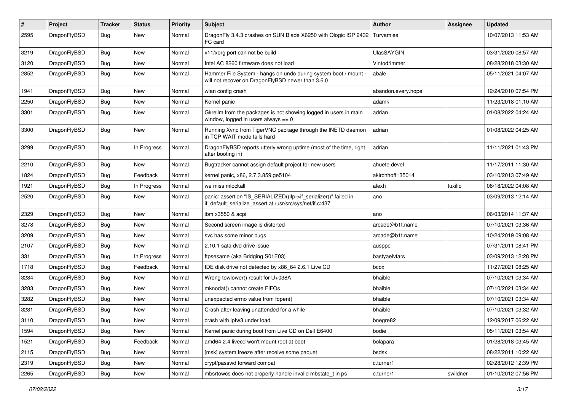| $\pmb{\#}$ | Project      | <b>Tracker</b> | <b>Status</b> | <b>Priority</b> | Subject                                                                                                                      | <b>Author</b>      | <b>Assignee</b> | <b>Updated</b>      |
|------------|--------------|----------------|---------------|-----------------|------------------------------------------------------------------------------------------------------------------------------|--------------------|-----------------|---------------------|
| 2595       | DragonFlyBSD | Bug            | New           | Normal          | DragonFly 3.4.3 crashes on SUN Blade X6250 with Qlogic ISP 2432<br>FC card                                                   | Turvamies          |                 | 10/07/2013 11:53 AM |
| 3219       | DragonFlyBSD | <b>Bug</b>     | <b>New</b>    | Normal          | x11/xorg port can not be build                                                                                               | UlasSAYGIN         |                 | 03/31/2020 08:57 AM |
| 3120       | DragonFlyBSD | Bug            | <b>New</b>    | Normal          | Intel AC 8260 firmware does not load                                                                                         | Vintodrimmer       |                 | 08/28/2018 03:30 AM |
| 2852       | DragonFlyBSD | Bug            | New           | Normal          | Hammer File System - hangs on undo during system boot / mount -<br>will not recover on DragonFlyBSD newer than 3.6.0         | abale              |                 | 05/11/2021 04:07 AM |
| 1941       | DragonFlyBSD | Bug            | <b>New</b>    | Normal          | wlan config crash                                                                                                            | abandon.every.hope |                 | 12/24/2010 07:54 PM |
| 2250       | DragonFlyBSD | Bug            | <b>New</b>    | Normal          | Kernel panic                                                                                                                 | adamk              |                 | 11/23/2018 01:10 AM |
| 3301       | DragonFlyBSD | Bug            | New           | Normal          | Gkrellm from the packages is not showing logged in users in main<br>window, logged in users always $== 0$                    | adrian             |                 | 01/08/2022 04:24 AM |
| 3300       | DragonFlyBSD | Bug            | New           | Normal          | Running Xvnc from TigerVNC package through the INETD daemon<br>in TCP WAIT mode fails hard                                   | adrian             |                 | 01/08/2022 04:25 AM |
| 3299       | DragonFlyBSD | Bug            | In Progress   | Normal          | DragonFlyBSD reports utterly wrong uptime (most of the time, right<br>after booting in)                                      | adrian             |                 | 11/11/2021 01:43 PM |
| 2210       | DragonFlyBSD | Bug            | New           | Normal          | Bugtracker cannot assign default project for new users                                                                       | ahuete.devel       |                 | 11/17/2011 11:30 AM |
| 1824       | DragonFlyBSD | <b>Bug</b>     | Feedback      | Normal          | kernel panic, x86, 2.7.3.859.ge5104                                                                                          | akirchhoff135014   |                 | 03/10/2013 07:49 AM |
| 1921       | DragonFlyBSD | <b>Bug</b>     | In Progress   | Normal          | we miss mlockall                                                                                                             | alexh              | tuxillo         | 06/18/2022 04:08 AM |
| 2520       | DragonFlyBSD | Bug            | New           | Normal          | panic: assertion "IS_SERIALIZED((ifp->if_serializer))" failed in<br>if default serialize assert at /usr/src/sys/net/if.c:437 | ano                |                 | 03/09/2013 12:14 AM |
| 2329       | DragonFlyBSD | Bug            | <b>New</b>    | Normal          | ibm x3550 & acpi                                                                                                             | ano                |                 | 06/03/2014 11:37 AM |
| 3278       | DragonFlyBSD | Bug            | <b>New</b>    | Normal          | Second screen image is distorted                                                                                             | arcade@b1t.name    |                 | 07/10/2021 03:36 AM |
| 3209       | DragonFlyBSD | Bug            | New           | Normal          | svc has some minor bugs                                                                                                      | arcade@b1t.name    |                 | 10/24/2019 09:08 AM |
| 2107       | DragonFlyBSD | Bug            | New           | Normal          | 2.10.1 sata dvd drive issue                                                                                                  | ausppc             |                 | 07/31/2011 08:41 PM |
| 331        | DragonFlyBSD | Bug            | In Progress   | Normal          | ftpsesame (aka Bridging S01E03)                                                                                              | bastyaelvtars      |                 | 03/09/2013 12:28 PM |
| 1718       | DragonFlyBSD | Bug            | Feedback      | Normal          | IDE disk drive not detected by x86_64 2.6.1 Live CD                                                                          | bcox               |                 | 11/27/2021 08:25 AM |
| 3284       | DragonFlyBSD | Bug            | <b>New</b>    | Normal          | Wrong towlower() result for U+038A                                                                                           | bhaible            |                 | 07/10/2021 03:34 AM |
| 3283       | DragonFlyBSD | <b>Bug</b>     | <b>New</b>    | Normal          | mknodat() cannot create FIFOs                                                                                                | bhaible            |                 | 07/10/2021 03:34 AM |
| 3282       | DragonFlyBSD | Bug            | <b>New</b>    | Normal          | unexpected errno value from fopen()                                                                                          | bhaible            |                 | 07/10/2021 03:34 AM |
| 3281       | DragonFlyBSD | <b>Bug</b>     | New           | Normal          | Crash after leaving unattended for a while                                                                                   | bhaible            |                 | 07/10/2021 03:32 AM |
| 3110       | DragonFlyBSD | Bug            | New           | Normal          | crash with ipfw3 under load                                                                                                  | bnegre82           |                 | 12/09/2017 06:22 AM |
| 1594       | DragonFlyBSD | Bug            | New           | Normal          | Kernel panic during boot from Live CD on Dell E6400                                                                          | bodie              |                 | 05/11/2021 03:54 AM |
| 1521       | DragonFlyBSD | <b>Bug</b>     | Feedback      | Normal          | amd64 2.4 livecd won't mount root at boot                                                                                    | bolapara           |                 | 01/28/2018 03:45 AM |
| 2115       | DragonFlyBSD | <b>Bug</b>     | New           | Normal          | [msk] system freeze after receive some paquet                                                                                | bsdsx              |                 | 08/22/2011 10:22 AM |
| 2319       | DragonFlyBSD | Bug            | New           | Normal          | crypt/passwd forward compat                                                                                                  | c.turner1          |                 | 02/28/2012 12:39 PM |
| 2265       | DragonFlyBSD | Bug            | New           | Normal          | mbsrtowcs does not properly handle invalid mbstate_t in ps                                                                   | c.turner1          | swildner        | 01/10/2012 07:56 PM |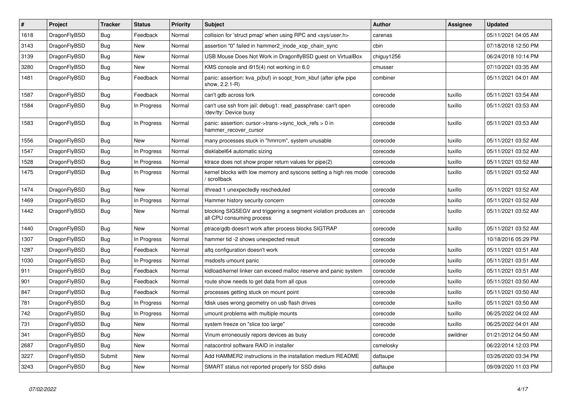| $\vert$ # | <b>Project</b> | <b>Tracker</b> | <b>Status</b> | <b>Priority</b> | <b>Subject</b>                                                                               | <b>Author</b> | Assignee | <b>Updated</b>      |
|-----------|----------------|----------------|---------------|-----------------|----------------------------------------------------------------------------------------------|---------------|----------|---------------------|
| 1618      | DragonFlyBSD   | <b>Bug</b>     | Feedback      | Normal          | collision for 'struct pmap' when using RPC and <sys user.h=""></sys>                         | carenas       |          | 05/11/2021 04:05 AM |
| 3143      | DragonFlyBSD   | <b>Bug</b>     | New           | Normal          | assertion "0" failed in hammer2 inode xop chain sync                                         | cbin          |          | 07/18/2018 12:50 PM |
| 3139      | DragonFlyBSD   | <b>Bug</b>     | <b>New</b>    | Normal          | USB Mouse Does Not Work in DragonflyBSD guest on VirtualBox                                  | chiguy1256    |          | 06/24/2018 10:14 PM |
| 3280      | DragonFlyBSD   | Bug            | <b>New</b>    | Normal          | KMS console and i915(4) not working in 6.0                                                   | cmusser       |          | 07/10/2021 03:35 AM |
| 1481      | DragonFlyBSD   | Bug            | Feedback      | Normal          | panic: assertion: kva p(buf) in soopt from kbuf (after ipfw pipe<br>show, 2.2.1-R)           | combiner      |          | 05/11/2021 04:01 AM |
| 1587      | DragonFlyBSD   | <b>Bug</b>     | Feedback      | Normal          | can't gdb across fork                                                                        | corecode      | tuxillo  | 05/11/2021 03:54 AM |
| 1584      | DragonFlyBSD   | <b>Bug</b>     | In Progress   | Normal          | can't use ssh from jail: debug1: read_passphrase: can't open<br>/dev/tty: Device busy        | corecode      | tuxillo  | 05/11/2021 03:53 AM |
| 1583      | DragonFlyBSD   | <b>Bug</b>     | In Progress   | Normal          | panic: assertion: cursor->trans->sync lock refs $> 0$ in<br>hammer_recover_cursor            | corecode      | tuxillo  | 05/11/2021 03:53 AM |
| 1556      | DragonFlyBSD   | <b>Bug</b>     | <b>New</b>    | Normal          | many processes stuck in "hmrrcm", system unusable                                            | corecode      | tuxillo  | 05/11/2021 03:52 AM |
| 1547      | DragonFlyBSD   | Bug            | In Progress   | Normal          | disklabel64 automatic sizing                                                                 | corecode      | tuxillo  | 05/11/2021 03:52 AM |
| 1528      | DragonFlyBSD   | Bug            | In Progress   | Normal          | ktrace does not show proper return values for pipe(2)                                        | corecode      | tuxillo  | 05/11/2021 03:52 AM |
| 1475      | DragonFlyBSD   | Bug            | In Progress   | Normal          | kernel blocks with low memory and syscons setting a high res mode<br>/ scrollback            | corecode      | tuxillo  | 05/11/2021 03:52 AM |
| 1474      | DragonFlyBSD   | <b>Bug</b>     | New           | Normal          | ithread 1 unexpectedly rescheduled                                                           | corecode      | tuxillo  | 05/11/2021 03:52 AM |
| 1469      | DragonFlyBSD   | Bug            | In Progress   | Normal          | Hammer history security concern                                                              | corecode      | tuxillo  | 05/11/2021 03:52 AM |
| 1442      | DragonFlyBSD   | Bug            | <b>New</b>    | Normal          | blocking SIGSEGV and triggering a segment violation produces an<br>all CPU consuming process | corecode      | tuxillo  | 05/11/2021 03:52 AM |
| 1440      | DragonFlyBSD   | <b>Bug</b>     | <b>New</b>    | Normal          | ptrace/gdb doesn't work after process blocks SIGTRAP                                         | corecode      | tuxillo  | 05/11/2021 03:52 AM |
| 1307      | DragonFlyBSD   | Bug            | In Progress   | Normal          | hammer tid -2 shows unexpected result                                                        | corecode      |          | 10/18/2016 05:29 PM |
| 1287      | DragonFlyBSD   | Bug            | Feedback      | Normal          | altg configuration doesn't work                                                              | corecode      | tuxillo  | 05/11/2021 03:51 AM |
| 1030      | DragonFlyBSD   | Bug            | In Progress   | Normal          | msdosfs umount panic                                                                         | corecode      | tuxillo  | 05/11/2021 03:51 AM |
| 911       | DragonFlyBSD   | <b>Bug</b>     | Feedback      | Normal          | kldload/kernel linker can exceed malloc reserve and panic system                             | corecode      | tuxillo  | 05/11/2021 03:51 AM |
| 901       | DragonFlyBSD   | Bug            | Feedback      | Normal          | route show needs to get data from all cpus                                                   | corecode      | tuxillo  | 05/11/2021 03:50 AM |
| 847       | DragonFlyBSD   | Bug            | Feedback      | Normal          | processes getting stuck on mount point                                                       | corecode      | tuxillo  | 05/11/2021 03:50 AM |
| 781       | DragonFlyBSD   | Bug            | In Progress   | Normal          | fdisk uses wrong geometry on usb flash drives                                                | corecode      | tuxillo  | 05/11/2021 03:50 AM |
| 742       | DragonFlyBSD   | <b>Bug</b>     | In Progress   | Normal          | umount problems with multiple mounts                                                         | corecode      | tuxillo  | 06/25/2022 04:02 AM |
| 731       | DragonFlyBSD   | <b>Bug</b>     | <b>New</b>    | Normal          | system freeze on "slice too large"                                                           | corecode      | tuxillo  | 06/25/2022 04:01 AM |
| 341       | DragonFlyBSD   | Bug            | <b>New</b>    | Normal          | Vinum erroneously repors devices as busy                                                     | corecode      | swildner | 01/21/2012 04:50 AM |
| 2687      | DragonFlyBSD   | Bug            | <b>New</b>    | Normal          | natacontrol software RAID in installer                                                       | csmelosky     |          | 06/22/2014 12:03 PM |
| 3227      | DragonFlyBSD   | Submit         | <b>New</b>    | Normal          | Add HAMMER2 instructions in the installation medium README                                   | daftaupe      |          | 03/26/2020 03:34 PM |
| 3243      | DragonFlyBSD   | <b>Bug</b>     | New           | Normal          | SMART status not reported properly for SSD disks                                             | daftaupe      |          | 09/09/2020 11:03 PM |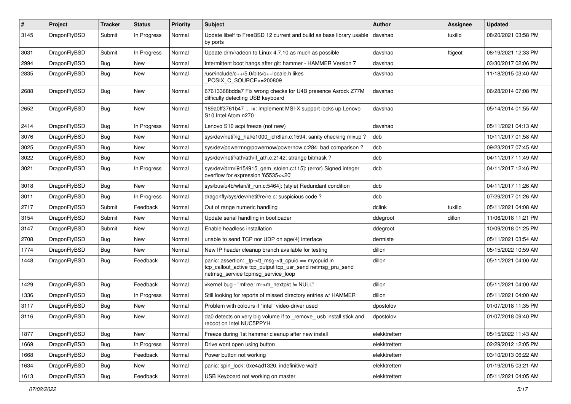| $\pmb{\#}$ | Project      | <b>Tracker</b> | <b>Status</b> | <b>Priority</b> | Subject                                                                                                                                                   | <b>Author</b> | <b>Assignee</b> | <b>Updated</b>      |
|------------|--------------|----------------|---------------|-----------------|-----------------------------------------------------------------------------------------------------------------------------------------------------------|---------------|-----------------|---------------------|
| 3145       | DragonFlyBSD | Submit         | In Progress   | Normal          | Update libelf to FreeBSD 12 current and build as base library usable<br>by ports                                                                          | davshao       | tuxillo         | 08/20/2021 03:58 PM |
| 3031       | DragonFlyBSD | Submit         | In Progress   | Normal          | Update drm/radeon to Linux 4.7.10 as much as possible                                                                                                     | davshao       | ftigeot         | 08/19/2021 12:33 PM |
| 2994       | DragonFlyBSD | Bug            | <b>New</b>    | Normal          | Intermittent boot hangs after git: hammer - HAMMER Version 7                                                                                              | davshao       |                 | 03/30/2017 02:06 PM |
| 2835       | DragonFlyBSD | Bug            | <b>New</b>    | Normal          | /usr/include/c++/5.0/bits/c++locale.h likes<br>POSIX_C_SOURCE>=200809                                                                                     | davshao       |                 | 11/18/2015 03:40 AM |
| 2688       | DragonFlyBSD | Bug            | New           | Normal          | 67613368bdda7 Fix wrong checks for U4B presence Asrock Z77M<br>difficulty detecting USB keyboard                                                          | davshao       |                 | 06/28/2014 07:08 PM |
| 2652       | DragonFlyBSD | Bug            | New           | Normal          | 189a0ff3761b47  ix: Implement MSI-X support locks up Lenovo<br>S10 Intel Atom n270                                                                        | davshao       |                 | 05/14/2014 01:55 AM |
| 2414       | DragonFlyBSD | <b>Bug</b>     | In Progress   | Normal          | Lenovo S10 acpi freeze (not new)                                                                                                                          | davshao       |                 | 05/11/2021 04:13 AM |
| 3076       | DragonFlyBSD | Bug            | <b>New</b>    | Normal          | sys/dev/netif/ig_hal/e1000_ich8lan.c:1594: sanity checking mixup?                                                                                         | dcb           |                 | 10/11/2017 01:58 AM |
| 3025       | DragonFlyBSD | Bug            | New           | Normal          | sys/dev/powermng/powernow/powernow.c:284: bad comparison?                                                                                                 | dcb           |                 | 09/23/2017 07:45 AM |
| 3022       | DragonFlyBSD | Bug            | New           | Normal          | sys/dev/netif/ath/ath/if ath.c:2142: strange bitmask?                                                                                                     | dcb           |                 | 04/11/2017 11:49 AM |
| 3021       | DragonFlyBSD | Bug            | In Progress   | Normal          | sys/dev/drm/i915/i915_gem_stolen.c:115]: (error) Signed integer<br>overflow for expression '65535<<20'                                                    | dcb           |                 | 04/11/2017 12:46 PM |
| 3018       | DragonFlyBSD | Bug            | New           | Normal          | sys/bus/u4b/wlan/if run.c:5464]: (style) Redundant condition                                                                                              | dcb           |                 | 04/11/2017 11:26 AM |
| 3011       | DragonFlyBSD | Bug            | In Progress   | Normal          | dragonfly/sys/dev/netif/re/re.c: suspicious code?                                                                                                         | dcb           |                 | 07/29/2017 01:26 AM |
| 2717       | DragonFlyBSD | Submit         | Feedback      | Normal          | Out of range numeric handling                                                                                                                             | dclink        | tuxillo         | 05/11/2021 04:08 AM |
| 3154       | DragonFlyBSD | Submit         | <b>New</b>    | Normal          | Update serial handling in bootloader                                                                                                                      | ddegroot      | dillon          | 11/06/2018 11:21 PM |
| 3147       | DragonFlyBSD | Submit         | New           | Normal          | Enable headless installation                                                                                                                              | ddegroot      |                 | 10/09/2018 01:25 PM |
| 2708       | DragonFlyBSD | Bug            | New           | Normal          | unable to send TCP nor UDP on age(4) interface                                                                                                            | dermiste      |                 | 05/11/2021 03:54 AM |
| 1774       | DragonFlyBSD | Bug            | New           | Normal          | New IP header cleanup branch available for testing                                                                                                        | dillon        |                 | 05/15/2022 10:59 AM |
| 1448       | DragonFlyBSD | Bug            | Feedback      | Normal          | panic: assertion: _tp->tt_msg->tt_cpuid == mycpuid in<br>tcp_callout_active tcp_output tcp_usr_send netmsg_pru_send<br>netmsg_service tcpmsg_service_loop | dillon        |                 | 05/11/2021 04:00 AM |
| 1429       | DragonFlyBSD | <b>Bug</b>     | Feedback      | Normal          | vkernel bug - "mfree: m->m_nextpkt != NULL"                                                                                                               | dillon        |                 | 05/11/2021 04:00 AM |
| 1336       | DragonFlyBSD | Bug            | In Progress   | Normal          | Still looking for reports of missed directory entries w/ HAMMER                                                                                           | dillon        |                 | 05/11/2021 04:00 AM |
| 3117       | DragonFlyBSD | Bug            | <b>New</b>    | Normal          | Problem with colours if "intel" video-driver used                                                                                                         | dpostolov     |                 | 01/07/2018 11:35 PM |
| 3116       | DragonFlyBSD | <b>Bug</b>     | New           | Normal          | da0 detects on very big volume if to remove usb install stick and<br>reboot on Intel NUC5PPYH                                                             | dpostolov     |                 | 01/07/2018 09:40 PM |
| 1877       | DragonFlyBSD | Bug            | New           | Normal          | Freeze during 1st hammer cleanup after new install                                                                                                        | elekktretterr |                 | 05/15/2022 11:43 AM |
| 1669       | DragonFlyBSD | <b>Bug</b>     | In Progress   | Normal          | Drive wont open using button                                                                                                                              | elekktretterr |                 | 02/29/2012 12:05 PM |
| 1668       | DragonFlyBSD | Bug            | Feedback      | Normal          | Power button not working                                                                                                                                  | elekktretterr |                 | 03/10/2013 06:22 AM |
| 1634       | DragonFlyBSD | <b>Bug</b>     | New           | Normal          | panic: spin_lock: 0xe4ad1320, indefinitive wait!                                                                                                          | elekktretterr |                 | 01/19/2015 03:21 AM |
| 1613       | DragonFlyBSD | Bug            | Feedback      | Normal          | USB Keyboard not working on master                                                                                                                        | elekktretterr |                 | 05/11/2021 04:05 AM |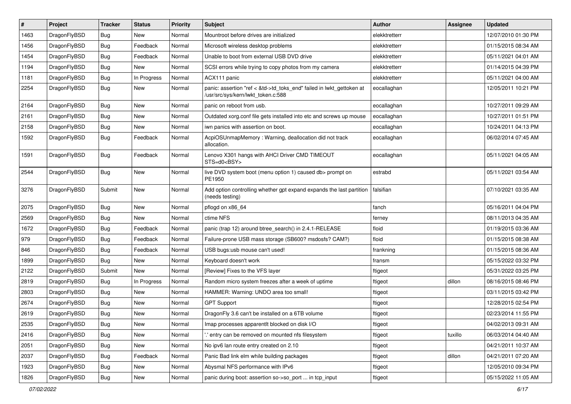| #    | Project      | <b>Tracker</b> | <b>Status</b> | <b>Priority</b> | Subject                                                                                                    | <b>Author</b> | Assignee | <b>Updated</b>      |
|------|--------------|----------------|---------------|-----------------|------------------------------------------------------------------------------------------------------------|---------------|----------|---------------------|
| 1463 | DragonFlyBSD | <b>Bug</b>     | New           | Normal          | Mountroot before drives are initialized                                                                    | elekktretterr |          | 12/07/2010 01:30 PM |
| 1456 | DragonFlyBSD | <b>Bug</b>     | Feedback      | Normal          | Microsoft wireless desktop problems                                                                        | elekktretterr |          | 01/15/2015 08:34 AM |
| 1454 | DragonFlyBSD | <b>Bug</b>     | Feedback      | Normal          | Unable to boot from external USB DVD drive                                                                 | elekktretterr |          | 05/11/2021 04:01 AM |
| 1194 | DragonFlyBSD | <b>Bug</b>     | New           | Normal          | SCSI errors while trying to copy photos from my camera                                                     | elekktretterr |          | 01/14/2015 04:39 PM |
| 1181 | DragonFlyBSD | <b>Bug</b>     | In Progress   | Normal          | ACX111 panic                                                                                               | elekktretterr |          | 05/11/2021 04:00 AM |
| 2254 | DragonFlyBSD | <b>Bug</b>     | New           | Normal          | panic: assertion "ref < &td->td_toks_end" failed in lwkt_gettoken at<br>/usr/src/sys/kern/lwkt_token.c:588 | eocallaghan   |          | 12/05/2011 10:21 PM |
| 2164 | DragonFlyBSD | <b>Bug</b>     | <b>New</b>    | Normal          | panic on reboot from usb.                                                                                  | eocallaghan   |          | 10/27/2011 09:29 AM |
| 2161 | DragonFlyBSD | <b>Bug</b>     | New           | Normal          | Outdated xorg.conf file gets installed into etc and screws up mouse                                        | eocallaghan   |          | 10/27/2011 01:51 PM |
| 2158 | DragonFlyBSD | <b>Bug</b>     | New           | Normal          | iwn panics with assertion on boot.                                                                         | eocallaghan   |          | 10/24/2011 04:13 PM |
| 1592 | DragonFlyBSD | <b>Bug</b>     | Feedback      | Normal          | AcpiOSUnmapMemory: Warning, deallocation did not track<br>allocation.                                      | eocallaghan   |          | 06/02/2014 07:45 AM |
| 1591 | DragonFlyBSD | <b>Bug</b>     | Feedback      | Normal          | Lenovo X301 hangs with AHCI Driver CMD TIMEOUT<br>STS=d0 <bsy></bsy>                                       | eocallaghan   |          | 05/11/2021 04:05 AM |
| 2544 | DragonFlyBSD | Bug            | New           | Normal          | live DVD system boot (menu option 1) caused db> prompt on<br>PE1950                                        | estrabd       |          | 05/11/2021 03:54 AM |
| 3276 | DragonFlyBSD | Submit         | <b>New</b>    | Normal          | Add option controlling whether gpt expand expands the last partition<br>(needs testing)                    | falsifian     |          | 07/10/2021 03:35 AM |
| 2075 | DragonFlyBSD | Bug            | <b>New</b>    | Normal          | pflogd on x86 64                                                                                           | fanch         |          | 05/16/2011 04:04 PM |
| 2569 | DragonFlyBSD | <b>Bug</b>     | New           | Normal          | ctime NFS                                                                                                  | ferney        |          | 08/11/2013 04:35 AM |
| 1672 | DragonFlyBSD | <b>Bug</b>     | Feedback      | Normal          | panic (trap 12) around btree_search() in 2.4.1-RELEASE                                                     | floid         |          | 01/19/2015 03:36 AM |
| 979  | DragonFlyBSD | <b>Bug</b>     | Feedback      | Normal          | Failure-prone USB mass storage (SB600? msdosfs? CAM?)                                                      | floid         |          | 01/15/2015 08:38 AM |
| 846  | DragonFlyBSD | <b>Bug</b>     | Feedback      | Normal          | USB bugs:usb mouse can't used!                                                                             | frankning     |          | 01/15/2015 08:36 AM |
| 1899 | DragonFlyBSD | <b>Bug</b>     | New           | Normal          | Keyboard doesn't work                                                                                      | fransm        |          | 05/15/2022 03:32 PM |
| 2122 | DragonFlyBSD | Submit         | New           | Normal          | [Review] Fixes to the VFS layer                                                                            | ftigeot       |          | 05/31/2022 03:25 PM |
| 2819 | DragonFlyBSD | <b>Bug</b>     | In Progress   | Normal          | Random micro system freezes after a week of uptime                                                         | ftigeot       | dillon   | 08/16/2015 08:46 PM |
| 2803 | DragonFlyBSD | <b>Bug</b>     | New           | Normal          | HAMMER: Warning: UNDO area too small!                                                                      | ftigeot       |          | 03/11/2015 03:42 PM |
| 2674 | DragonFlyBSD | <b>Bug</b>     | New           | Normal          | <b>GPT Support</b>                                                                                         | ftigeot       |          | 12/28/2015 02:54 PM |
| 2619 | DragonFlyBSD | <b>Bug</b>     | New           | Normal          | DragonFly 3.6 can't be installed on a 6TB volume                                                           | ftigeot       |          | 02/23/2014 11:55 PM |
| 2535 | DragonFlyBSD | <b>Bug</b>     | I New         | Normal          | Imap processes apparentlt blocked on disk I/O                                                              | ftigeot       |          | 04/02/2013 09:31 AM |
| 2416 | DragonFlyBSD | <b>Bug</b>     | New           | Normal          | ".' entry can be removed on mounted nfs filesystem                                                         | ftigeot       | tuxillo  | 06/03/2014 04:40 AM |
| 2051 | DragonFlyBSD | <b>Bug</b>     | New           | Normal          | No ipv6 lan route entry created on 2.10                                                                    | ftigeot       |          | 04/21/2011 10:37 AM |
| 2037 | DragonFlyBSD | <b>Bug</b>     | Feedback      | Normal          | Panic Bad link elm while building packages                                                                 | ftigeot       | dillon   | 04/21/2011 07:20 AM |
| 1923 | DragonFlyBSD | <b>Bug</b>     | <b>New</b>    | Normal          | Abysmal NFS performance with IPv6                                                                          | ftigeot       |          | 12/05/2010 09:34 PM |
| 1826 | DragonFlyBSD | Bug            | New           | Normal          | panic during boot: assertion so->so_port  in tcp_input                                                     | ftigeot       |          | 05/15/2022 11:05 AM |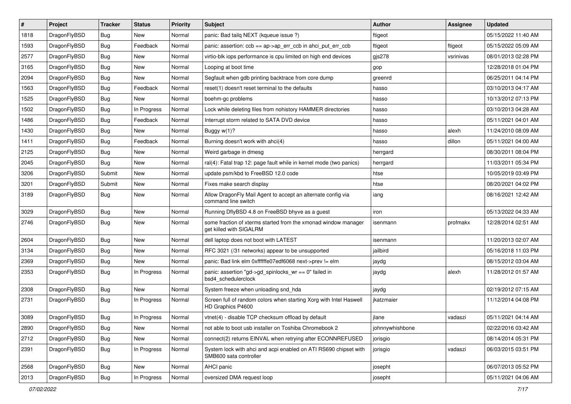| #    | Project      | <b>Tracker</b> | <b>Status</b> | <b>Priority</b> | Subject                                                                                    | <b>Author</b>   | <b>Assignee</b> | <b>Updated</b>      |
|------|--------------|----------------|---------------|-----------------|--------------------------------------------------------------------------------------------|-----------------|-----------------|---------------------|
| 1818 | DragonFlyBSD | <b>Bug</b>     | New           | Normal          | panic: Bad tailq NEXT (kqueue issue ?)                                                     | ftigeot         |                 | 05/15/2022 11:40 AM |
| 1593 | DragonFlyBSD | <b>Bug</b>     | Feedback      | Normal          | panic: assertion: ccb == ap->ap_err_ccb in ahci_put_err_ccb                                | ftigeot         | ftigeot         | 05/15/2022 05:09 AM |
| 2577 | DragonFlyBSD | <b>Bug</b>     | New           | Normal          | virtio-blk iops performance is cpu limited on high end devices                             | $g$ js $278$    | vsrinivas       | 08/01/2013 02:28 PM |
| 3165 | DragonFlyBSD | <b>Bug</b>     | New           | Normal          | Looping at boot time                                                                       | gop             |                 | 12/28/2018 01:04 PM |
| 2094 | DragonFlyBSD | Bug            | <b>New</b>    | Normal          | Segfault when gdb printing backtrace from core dump                                        | greenrd         |                 | 06/25/2011 04:14 PM |
| 1563 | DragonFlyBSD | <b>Bug</b>     | Feedback      | Normal          | reset(1) doesn't reset terminal to the defaults                                            | hasso           |                 | 03/10/2013 04:17 AM |
| 1525 | DragonFlyBSD | Bug            | New           | Normal          | boehm-gc problems                                                                          | hasso           |                 | 10/13/2012 07:13 PM |
| 1502 | DragonFlyBSD | <b>Bug</b>     | In Progress   | Normal          | Lock while deleting files from nohistory HAMMER directories                                | hasso           |                 | 03/10/2013 04:28 AM |
| 1486 | DragonFlyBSD | <b>Bug</b>     | Feedback      | Normal          | Interrupt storm related to SATA DVD device                                                 | hasso           |                 | 05/11/2021 04:01 AM |
| 1430 | DragonFlyBSD | Bug            | New           | Normal          | Buggy w(1)?                                                                                | hasso           | alexh           | 11/24/2010 08:09 AM |
| 1411 | DragonFlyBSD | <b>Bug</b>     | Feedback      | Normal          | Burning doesn't work with ahci(4)                                                          | hasso           | dillon          | 05/11/2021 04:00 AM |
| 2125 | DragonFlyBSD | Bug            | <b>New</b>    | Normal          | Weird garbage in dmesg                                                                     | herrgard        |                 | 08/30/2011 08:04 PM |
| 2045 | DragonFlyBSD | <b>Bug</b>     | New           | Normal          | ral(4): Fatal trap 12: page fault while in kernel mode (two panics)                        | herrgard        |                 | 11/03/2011 05:34 PM |
| 3206 | DragonFlyBSD | Submit         | <b>New</b>    | Normal          | update psm/kbd to FreeBSD 12.0 code                                                        | htse            |                 | 10/05/2019 03:49 PM |
| 3201 | DragonFlyBSD | Submit         | New           | Normal          | Fixes make search display                                                                  | htse            |                 | 08/20/2021 04:02 PM |
| 3189 | DragonFlyBSD | Bug            | New           | Normal          | Allow DragonFly Mail Agent to accept an alternate config via<br>command line switch        | iang            |                 | 08/16/2021 12:42 AM |
| 3029 | DragonFlyBSD | Bug            | <b>New</b>    | Normal          | Running DflyBSD 4.8 on FreeBSD bhyve as a guest                                            | iron            |                 | 05/13/2022 04:33 AM |
| 2746 | DragonFlyBSD | <b>Bug</b>     | New           | Normal          | some fraction of xterms started from the xmonad window manager<br>get killed with SIGALRM  | isenmann        | profmakx        | 12/28/2014 02:51 AM |
| 2604 | DragonFlyBSD | Bug            | <b>New</b>    | Normal          | dell laptop does not boot with LATEST                                                      | isenmann        |                 | 11/20/2013 02:07 AM |
| 3134 | DragonFlyBSD | <b>Bug</b>     | <b>New</b>    | Normal          | RFC 3021 (/31 networks) appear to be unsupported                                           | jailbird        |                 | 05/16/2018 11:03 PM |
| 2369 | DragonFlyBSD | Bug            | New           | Normal          | panic: Bad link elm 0xffffffe07edf6068 next->prev != elm                                   | jaydg           |                 | 08/15/2012 03:04 AM |
| 2353 | DragonFlyBSD | <b>Bug</b>     | In Progress   | Normal          | panic: assertion "gd->gd_spinlocks_wr == 0" failed in<br>bsd4_schedulerclock               | jaydg           | alexh           | 11/28/2012 01:57 AM |
| 2308 | DragonFlyBSD | Bug            | New           | Normal          | System freeze when unloading snd_hda                                                       | jaydg           |                 | 02/19/2012 07:15 AM |
| 2731 | DragonFlyBSD | <b>Bug</b>     | In Progress   | Normal          | Screen full of random colors when starting Xorg with Intel Haswell<br>HD Graphics P4600    | jkatzmaier      |                 | 11/12/2014 04:08 PM |
| 3089 | DragonFlyBSD | Bug            | In Progress   | Normal          | vtnet(4) - disable TCP checksum offload by default                                         | jlane           | vadaszi         | 05/11/2021 04:14 AM |
| 2890 | DragonFlyBSD | <b>Bug</b>     | New           | Normal          | not able to boot usb installer on Toshiba Chromebook 2                                     | johnnywhishbone |                 | 02/22/2016 03:42 AM |
| 2712 | DragonFlyBSD | <b>Bug</b>     | New           | Normal          | connect(2) returns EINVAL when retrying after ECONNREFUSED                                 | jorisgio        |                 | 08/14/2014 05:31 PM |
| 2391 | DragonFlyBSD | <b>Bug</b>     | In Progress   | Normal          | System lock with ahci and acpi enabled on ATI RS690 chipset with<br>SMB600 sata controller | jorisgio        | vadaszi         | 06/03/2015 03:51 PM |
| 2568 | DragonFlyBSD | <b>Bug</b>     | <b>New</b>    | Normal          | AHCI panic                                                                                 | josepht         |                 | 06/07/2013 05:52 PM |
| 2013 | DragonFlyBSD | <b>Bug</b>     | In Progress   | Normal          | oversized DMA request loop                                                                 | josepht         |                 | 05/11/2021 04:06 AM |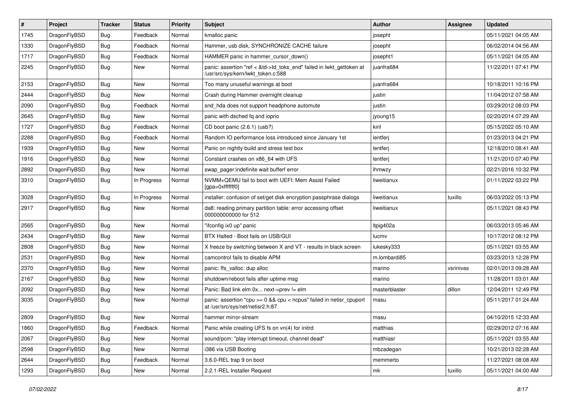| #    | Project      | <b>Tracker</b> | <b>Status</b> | <b>Priority</b> | Subject                                                                                                    | Author        | Assignee  | <b>Updated</b>      |
|------|--------------|----------------|---------------|-----------------|------------------------------------------------------------------------------------------------------------|---------------|-----------|---------------------|
| 1745 | DragonFlyBSD | Bug            | Feedback      | Normal          | kmalloc panic                                                                                              | josepht       |           | 05/11/2021 04:05 AM |
| 1330 | DragonFlyBSD | Bug            | Feedback      | Normal          | Hammer, usb disk, SYNCHRONIZE CACHE failure                                                                | josepht       |           | 06/02/2014 04:56 AM |
| 1717 | DragonFlyBSD | <b>Bug</b>     | Feedback      | Normal          | HAMMER panic in hammer cursor down()                                                                       | josepht1      |           | 05/11/2021 04:05 AM |
| 2245 | DragonFlyBSD | Bug            | New           | Normal          | panic: assertion "ref < &td->td_toks_end" failed in lwkt_gettoken at<br>/usr/src/sys/kern/lwkt_token.c:588 | juanfra684    |           | 11/22/2011 07:41 PM |
| 2153 | DragonFlyBSD | Bug            | <b>New</b>    | Normal          | Too many unuseful warnings at boot                                                                         | juanfra684    |           | 10/18/2011 10:16 PM |
| 2444 | DragonFlyBSD | Bug            | New           | Normal          | Crash during Hammer overnight cleanup                                                                      | justin        |           | 11/04/2012 07:58 AM |
| 2090 | DragonFlyBSD | <b>Bug</b>     | Feedback      | Normal          | snd_hda does not support headphone automute                                                                | justin        |           | 03/29/2012 08:03 PM |
| 2645 | DragonFlyBSD | <b>Bug</b>     | New           | Normal          | panic with dsched fq and ioprio                                                                            | jyoung15      |           | 02/20/2014 07:29 AM |
| 1727 | DragonFlyBSD | Bug            | Feedback      | Normal          | CD boot panic (2.6.1) (usb?)                                                                               | kiril         |           | 05/15/2022 05:10 AM |
| 2288 | DragonFlyBSD | <b>Bug</b>     | Feedback      | Normal          | Random IO performance loss introduced since January 1st                                                    | lentferj      |           | 01/23/2013 04:21 PM |
| 1939 | DragonFlyBSD | Bug            | <b>New</b>    | Normal          | Panic on nightly build and stress test box                                                                 | lentferj      |           | 12/18/2010 08:41 AM |
| 1916 | DragonFlyBSD | <b>Bug</b>     | New           | Normal          | Constant crashes on x86 64 with UFS                                                                        | lentferj      |           | 11/21/2010 07:40 PM |
| 2892 | DragonFlyBSD | <b>Bug</b>     | <b>New</b>    | Normal          | swap pager:indefinite wait bufferf error                                                                   | <b>Ihmwzy</b> |           | 02/21/2016 10:32 PM |
| 3310 | DragonFlyBSD | Bug            | In Progress   | Normal          | NVMM+QEMU fail to boot with UEFI: Mem Assist Failed<br>[gpa=0xfffffff0]                                    | liweitianux   |           | 01/11/2022 03:22 PM |
| 3028 | DragonFlyBSD | Bug            | In Progress   | Normal          | installer: confusion of set/get disk encryption passphrase dialogs                                         | liweitianux   | tuxillo   | 06/03/2022 05:13 PM |
| 2917 | DragonFlyBSD | Bug            | New           | Normal          | da8: reading primary partition table: error accessing offset<br>000000000000 for 512                       | liweitianux   |           | 05/11/2021 08:43 PM |
| 2565 | DragonFlyBSD | Bug            | New           | Normal          | "ifconfig ix0 up" panic                                                                                    | Itpig402a     |           | 06/03/2013 05:46 AM |
| 2434 | DragonFlyBSD | <b>Bug</b>     | New           | Normal          | BTX Halted - Boot fails on USB/GUI                                                                         | lucmv         |           | 10/17/2012 08:12 PM |
| 2808 | DragonFlyBSD | Bug            | <b>New</b>    | Normal          | X freeze by switching between X and VT - results in black screen                                           | lukesky333    |           | 05/11/2021 03:55 AM |
| 2531 | DragonFlyBSD | Bug            | <b>New</b>    | Normal          | camcontrol fails to disable APM                                                                            | m.lombardi85  |           | 03/23/2013 12:28 PM |
| 2370 | DragonFlyBSD | <b>Bug</b>     | <b>New</b>    | Normal          | panic: ffs_valloc: dup alloc                                                                               | marino        | vsrinivas | 02/01/2013 09:28 AM |
| 2167 | DragonFlyBSD | Bug            | <b>New</b>    | Normal          | shutdown/reboot fails after uptime msg                                                                     | marino        |           | 11/28/2011 03:01 AM |
| 2092 | DragonFlyBSD | <b>Bug</b>     | <b>New</b>    | Normal          | Panic: Bad link elm 0x next->prev != elm                                                                   | masterblaster | dillon    | 12/04/2011 12:49 PM |
| 3035 | DragonFlyBSD | Bug            | New           | Normal          | panic: assertion "cpu >= 0 && cpu < ncpus" failed in netisr_cpuport<br>at /usr/src/sys/net/netisr2.h:87    | masu          |           | 05/11/2017 01:24 AM |
| 2809 | DragonFlyBSD | <b>Bug</b>     | New           | Normal          | hammer mirror-stream                                                                                       | masu          |           | 04/10/2015 12:33 AM |
| 1860 | DragonFlyBSD | <b>Bug</b>     | Feedback      | Normal          | Panic while creating UFS fs on vn(4) for initrd                                                            | matthias      |           | 02/29/2012 07:16 AM |
| 2067 | DragonFlyBSD | <b>Bug</b>     | New           | Normal          | sound/pcm: "play interrupt timeout, channel dead"                                                          | matthiasr     |           | 05/11/2021 03:55 AM |
| 2598 | DragonFlyBSD | <b>Bug</b>     | New           | Normal          | i386 via USB Booting                                                                                       | mbzadegan     |           | 10/21/2013 02:28 AM |
| 2644 | DragonFlyBSD | <b>Bug</b>     | Feedback      | Normal          | 3.6.0-REL trap 9 on boot                                                                                   | memmerto      |           | 11/27/2021 08:08 AM |
| 1293 | DragonFlyBSD | Bug            | New           | Normal          | 2.2.1-REL Installer Request                                                                                | mk            | tuxillo   | 05/11/2021 04:00 AM |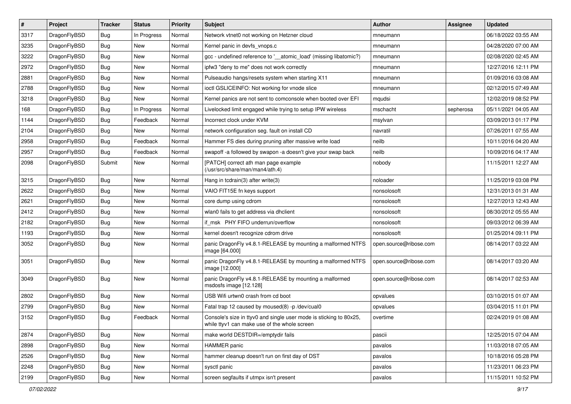| $\pmb{\#}$ | Project      | <b>Tracker</b> | <b>Status</b> | <b>Priority</b> | Subject                                                                                                            | <b>Author</b>          | Assignee  | <b>Updated</b>      |
|------------|--------------|----------------|---------------|-----------------|--------------------------------------------------------------------------------------------------------------------|------------------------|-----------|---------------------|
| 3317       | DragonFlyBSD | Bug            | In Progress   | Normal          | Network vtnet0 not working on Hetzner cloud                                                                        | mneumann               |           | 06/18/2022 03:55 AM |
| 3235       | DragonFlyBSD | Bug            | <b>New</b>    | Normal          | Kernel panic in devfs vnops.c                                                                                      | mneumann               |           | 04/28/2020 07:00 AM |
| 3222       | DragonFlyBSD | Bug            | New           | Normal          | gcc - undefined reference to '__atomic_load' (missing libatomic?)                                                  | mneumann               |           | 02/08/2020 02:45 AM |
| 2972       | DragonFlyBSD | Bug            | <b>New</b>    | Normal          | ipfw3 "deny to me" does not work correctly                                                                         | mneumann               |           | 12/27/2016 12:11 PM |
| 2881       | DragonFlyBSD | Bug            | <b>New</b>    | Normal          | Pulseaudio hangs/resets system when starting X11                                                                   | mneumann               |           | 01/09/2016 03:08 AM |
| 2788       | DragonFlyBSD | Bug            | New           | Normal          | ioctl GSLICEINFO: Not working for vnode slice                                                                      | mneumann               |           | 02/12/2015 07:49 AM |
| 3218       | DragonFlyBSD | Bug            | New           | Normal          | Kernel panics are not sent to comconsole when booted over EFI                                                      | mqudsi                 |           | 12/02/2019 08:52 PM |
| 168        | DragonFlyBSD | Bug            | In Progress   | Normal          | Livelocked limit engaged while trying to setup IPW wireless                                                        | mschacht               | sepherosa | 05/11/2021 04:05 AM |
| 1144       | DragonFlyBSD | Bug            | Feedback      | Normal          | Incorrect clock under KVM                                                                                          | msylvan                |           | 03/09/2013 01:17 PM |
| 2104       | DragonFlyBSD | Bug            | <b>New</b>    | Normal          | network configuration seg. fault on install CD                                                                     | navratil               |           | 07/26/2011 07:55 AM |
| 2958       | DragonFlyBSD | Bug            | Feedback      | Normal          | Hammer FS dies during pruning after massive write load                                                             | neilb                  |           | 10/11/2016 04:20 AM |
| 2957       | DragonFlyBSD | Bug            | Feedback      | Normal          | swapoff -a followed by swapon -a doesn't give your swap back                                                       | neilb                  |           | 10/09/2016 04:17 AM |
| 2098       | DragonFlyBSD | Submit         | New           | Normal          | [PATCH] correct ath man page example<br>(/usr/src/share/man/man4/ath.4)                                            | nobody                 |           | 11/15/2011 12:27 AM |
| 3215       | DragonFlyBSD | Bug            | <b>New</b>    | Normal          | Hang in tcdrain(3) after write(3)                                                                                  | noloader               |           | 11/25/2019 03:08 PM |
| 2622       | DragonFlyBSD | Bug            | New           | Normal          | VAIO FIT15E fn keys support                                                                                        | nonsolosoft            |           | 12/31/2013 01:31 AM |
| 2621       | DragonFlyBSD | Bug            | New           | Normal          | core dump using cdrom                                                                                              | nonsolosoft            |           | 12/27/2013 12:43 AM |
| 2412       | DragonFlyBSD | Bug            | <b>New</b>    | Normal          | wlan0 fails to get address via dhclient                                                                            | nonsolosoft            |           | 08/30/2012 05:55 AM |
| 2182       | DragonFlyBSD | Bug            | New           | Normal          | if_msk PHY FIFO underrun/overflow                                                                                  | nonsolosoft            |           | 09/03/2012 06:39 AM |
| 1193       | DragonFlyBSD | Bug            | <b>New</b>    | Normal          | kernel doesn't recognize cdrom drive                                                                               | nonsolosoft            |           | 01/25/2014 09:11 PM |
| 3052       | DragonFlyBSD | Bug            | New           | Normal          | panic DragonFly v4.8.1-RELEASE by mounting a malformed NTFS<br>image [64.000]                                      | open.source@ribose.com |           | 08/14/2017 03:22 AM |
| 3051       | DragonFlyBSD | Bug            | <b>New</b>    | Normal          | panic DragonFly v4.8.1-RELEASE by mounting a malformed NTFS<br>image [12.000]                                      | open.source@ribose.com |           | 08/14/2017 03:20 AM |
| 3049       | DragonFlyBSD | Bug            | New           | Normal          | panic DragonFly v4.8.1-RELEASE by mounting a malformed<br>msdosfs image [12.128]                                   | open.source@ribose.com |           | 08/14/2017 02:53 AM |
| 2802       | DragonFlyBSD | Bug            | <b>New</b>    | Normal          | USB Wifi urtwn0 crash from cd boot                                                                                 | opvalues               |           | 03/10/2015 01:07 AM |
| 2799       | DragonFlyBSD | Bug            | <b>New</b>    | Normal          | Fatal trap 12 caused by moused(8) -p/dev/cual0                                                                     | opvalues               |           | 03/04/2015 11:01 PM |
| 3152       | DragonFlyBSD | <b>Bug</b>     | Feedback      | Normal          | Console's size in ttyv0 and single user mode is sticking to 80x25,<br>while ttyv1 can make use of the whole screen | overtime               |           | 02/24/2019 01:08 AM |
| 2874       | DragonFlyBSD | <b>Bug</b>     | New           | Normal          | make world DESTDIR=/emptydir fails                                                                                 | pascii                 |           | 12/25/2015 07:04 AM |
| 2898       | DragonFlyBSD | <b>Bug</b>     | New           | Normal          | <b>HAMMER</b> panic                                                                                                | pavalos                |           | 11/03/2018 07:05 AM |
| 2526       | DragonFlyBSD | <b>Bug</b>     | New           | Normal          | hammer cleanup doesn't run on first day of DST                                                                     | pavalos                |           | 10/18/2016 05:28 PM |
| 2248       | DragonFlyBSD | <b>Bug</b>     | New           | Normal          | sysctl panic                                                                                                       | pavalos                |           | 11/23/2011 06:23 PM |
| 2199       | DragonFlyBSD | <b>Bug</b>     | New           | Normal          | screen segfaults if utmpx isn't present                                                                            | pavalos                |           | 11/15/2011 10:52 PM |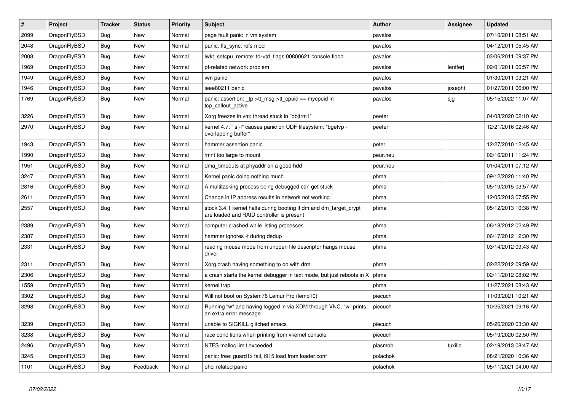| $\vert$ # | <b>Project</b> | <b>Tracker</b> | <b>Status</b> | <b>Priority</b> | <b>Subject</b>                                                                                                 | Author   | Assignee | <b>Updated</b>      |
|-----------|----------------|----------------|---------------|-----------------|----------------------------------------------------------------------------------------------------------------|----------|----------|---------------------|
| 2099      | DragonFlyBSD   | <b>Bug</b>     | <b>New</b>    | Normal          | page fault panic in vm system                                                                                  | pavalos  |          | 07/10/2011 08:51 AM |
| 2048      | DragonFlyBSD   | <b>Bug</b>     | New           | Normal          | panic: ffs sync: rofs mod                                                                                      | pavalos  |          | 04/12/2011 05:45 AM |
| 2008      | DragonFlyBSD   | <b>Bug</b>     | <b>New</b>    | Normal          | lwkt_setcpu_remote: td->td_flags 00800621 console flood                                                        | pavalos  |          | 03/06/2011 09:37 PM |
| 1969      | DragonFlyBSD   | Bug            | New           | Normal          | pf-related network problem                                                                                     | pavalos  | lentferj | 02/01/2011 06:57 PM |
| 1949      | DragonFlyBSD   | <b>Bug</b>     | <b>New</b>    | Normal          | iwn panic                                                                                                      | pavalos  |          | 01/30/2011 03:21 AM |
| 1946      | DragonFlyBSD   | Bug            | <b>New</b>    | Normal          | ieee80211 panic                                                                                                | pavalos  | josepht  | 01/27/2011 06:00 PM |
| 1769      | DragonFlyBSD   | <b>Bug</b>     | New           | Normal          | panic: assertion: _tp->tt_msg->tt_cpuid == mycpuid in<br>tcp callout active                                    | pavalos  | sjg      | 05/15/2022 11:07 AM |
| 3226      | DragonFlyBSD   | <b>Bug</b>     | <b>New</b>    | Normal          | Xorg freezes in vm: thread stuck in "objtrm1"                                                                  | peeter   |          | 04/08/2020 02:10 AM |
| 2970      | DragonFlyBSD   | Bug            | New           | Normal          | kernel 4.7: "Is -I" causes panic on UDF filesystem: "bgetvp -<br>overlapping buffer"                           | peeter   |          | 12/21/2016 02:46 AM |
| 1943      | DragonFlyBSD   | <b>Bug</b>     | <b>New</b>    | Normal          | hammer assertion panic                                                                                         | peter    |          | 12/27/2010 12:45 AM |
| 1990      | DragonFlyBSD   | <b>Bug</b>     | <b>New</b>    | Normal          | /mnt too large to mount                                                                                        | peur.neu |          | 02/16/2011 11:24 PM |
| 1951      | DragonFlyBSD   | Bug            | <b>New</b>    | Normal          | dma timeouts at phyaddr on a good hdd                                                                          | peur.neu |          | 01/04/2011 07:12 AM |
| 3247      | DragonFlyBSD   | <b>Bug</b>     | <b>New</b>    | Normal          | Kernel panic doing nothing much                                                                                | phma     |          | 09/12/2020 11:40 PM |
| 2816      | DragonFlyBSD   | <b>Bug</b>     | <b>New</b>    | Normal          | A multitasking process being debugged can get stuck                                                            | phma     |          | 05/19/2015 03:57 AM |
| 2611      | DragonFlyBSD   | <b>Bug</b>     | <b>New</b>    | Normal          | Change in IP address results in network not working                                                            | phma     |          | 12/05/2013 07:55 PM |
| 2557      | DragonFlyBSD   | Bug            | <b>New</b>    | Normal          | stock 3.4.1 kernel halts during booting if dm and dm_target_crypt<br>are loaded and RAID controller is present | phma     |          | 05/12/2013 10:38 PM |
| 2389      | DragonFlyBSD   | Bug            | <b>New</b>    | Normal          | computer crashed while listing processes                                                                       | phma     |          | 06/18/2012 02:49 PM |
| 2387      | DragonFlyBSD   | <b>Bug</b>     | <b>New</b>    | Normal          | hammer ignores -t during dedup                                                                                 | phma     |          | 06/17/2012 12:30 PM |
| 2331      | DragonFlyBSD   | Bug            | New           | Normal          | reading mouse mode from unopen file descriptor hangs mouse<br>driver                                           | phma     |          | 03/14/2012 09:43 AM |
| 2311      | DragonFlyBSD   | Bug            | <b>New</b>    | Normal          | Xorg crash having something to do with drm                                                                     | phma     |          | 02/22/2012 09:59 AM |
| 2306      | DragonFlyBSD   | <b>Bug</b>     | New           | Normal          | a crash starts the kernel debugger in text mode, but just reboots in X                                         | phma     |          | 02/11/2012 08:02 PM |
| 1559      | DragonFlyBSD   | <b>Bug</b>     | <b>New</b>    | Normal          | kernel trap                                                                                                    | phma     |          | 11/27/2021 08:43 AM |
| 3302      | DragonFlyBSD   | Bug            | New           | Normal          | Will not boot on System76 Lemur Pro (lemp10)                                                                   | piecuch  |          | 11/03/2021 10:21 AM |
| 3298      | DragonFlyBSD   | <b>Bug</b>     | New           | Normal          | Running "w" and having logged in via XDM through VNC, "w" prints<br>an extra error message                     | piecuch  |          | 10/25/2021 09:16 AM |
| 3239      | DragonFlyBSD   | <b>Bug</b>     | <b>New</b>    | Normal          | unable to SIGKILL glitched emacs                                                                               | piecuch  |          | 05/26/2020 03:30 AM |
| 3238      | DragonFlyBSD   | <b>Bug</b>     | <b>New</b>    | Normal          | race conditions when printing from vkernel console                                                             | piecuch  |          | 05/19/2020 02:50 PM |
| 2496      | DragonFlyBSD   | Bug            | New           | Normal          | NTFS malloc limit exceeded                                                                                     | plasmob  | tuxillo  | 02/19/2013 08:47 AM |
| 3245      | DragonFlyBSD   | Bug            | New           | Normal          | panic: free: guard1x fail, i915 load from loader.conf                                                          | polachok |          | 08/21/2020 10:36 AM |
| 1101      | DragonFlyBSD   | <b>Bug</b>     | Feedback      | Normal          | ohci related panic                                                                                             | polachok |          | 05/11/2021 04:00 AM |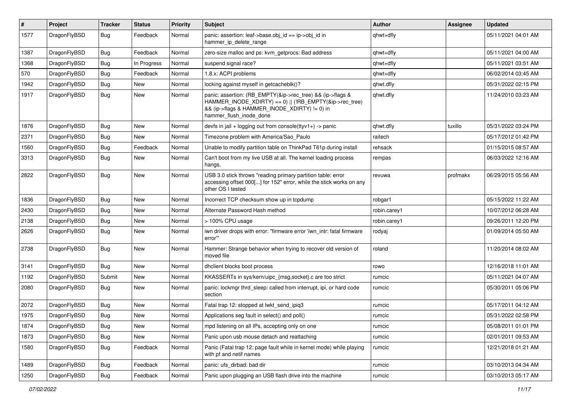| #    | Project      | <b>Tracker</b> | <b>Status</b> | <b>Priority</b> | Subject                                                                                                                                                                                           | <b>Author</b> | <b>Assignee</b> | <b>Updated</b>      |
|------|--------------|----------------|---------------|-----------------|---------------------------------------------------------------------------------------------------------------------------------------------------------------------------------------------------|---------------|-----------------|---------------------|
| 1577 | DragonFlyBSD | <b>Bug</b>     | Feedback      | Normal          | panic: assertion: leaf->base.obj_id == ip->obj_id in<br>hammer_ip_delete_range                                                                                                                    | qhwt+dfly     |                 | 05/11/2021 04:01 AM |
| 1387 | DragonFlyBSD | <b>Bug</b>     | Feedback      | Normal          | zero-size malloc and ps: kvm getprocs: Bad address                                                                                                                                                | qhwt+dfly     |                 | 05/11/2021 04:00 AM |
| 1368 | DragonFlyBSD | <b>Bug</b>     | In Progress   | Normal          | suspend signal race?                                                                                                                                                                              | qhwt+dfly     |                 | 05/11/2021 03:51 AM |
| 570  | DragonFlyBSD | <b>Bug</b>     | Feedback      | Normal          | 1.8.x: ACPI problems                                                                                                                                                                              | qhwt+dfly     |                 | 06/02/2014 03:45 AM |
| 1942 | DragonFlyBSD | <b>Bug</b>     | New           | Normal          | locking against myself in getcacheblk()?                                                                                                                                                          | qhwt.dfly     |                 | 05/31/2022 02:15 PM |
| 1917 | DragonFlyBSD | Bug            | New           | Normal          | panic: assertion: (RB_EMPTY(&ip->rec_tree) && (ip->flags &<br>HAMMER INODE XDIRTY) == 0)    (!RB EMPTY(&ip->rec tree)<br>&& (ip->flags & HAMMER_INODE_XDIRTY) != 0) in<br>hammer_flush_inode_done | qhwt.dfly     |                 | 11/24/2010 03:23 AM |
| 1876 | DragonFlyBSD | Bug            | New           | Normal          | devfs in jail + logging out from console(ttyv1+) -> panic                                                                                                                                         | qhwt.dfly     | tuxillo         | 05/31/2022 03:24 PM |
| 2371 | DragonFlyBSD | Bug            | New           | Normal          | Timezone problem with America/Sao Paulo                                                                                                                                                           | raitech       |                 | 05/17/2012 01:42 PM |
| 1560 | DragonFlyBSD | Bug            | Feedback      | Normal          | Unable to modify partition table on ThinkPad T61p during install                                                                                                                                  | rehsack       |                 | 01/15/2015 08:57 AM |
| 3313 | DragonFlyBSD | Bug            | New           | Normal          | Can't boot from my live USB at all. The kernel loading process<br>hangs.                                                                                                                          | rempas        |                 | 06/03/2022 12:16 AM |
| 2822 | DragonFlyBSD | <b>Bug</b>     | New           | Normal          | USB 3.0 stick throws "reading primary partition table: error<br>accessing offset 000[] for 152" error, while the stick works on any<br>other OS I tested                                          | revuwa        | profmakx        | 06/29/2015 05:56 AM |
| 1836 | DragonFlyBSD | Bug            | New           | Normal          | Incorrect TCP checksum show up in tcpdump                                                                                                                                                         | robgar1       |                 | 05/15/2022 11:22 AM |
| 2430 | DragonFlyBSD | Bug            | New           | Normal          | Alternate Password Hash method                                                                                                                                                                    | robin.carey1  |                 | 10/07/2012 06:28 AM |
| 2138 | DragonFlyBSD | Bug            | New           | Normal          | > 100% CPU usage                                                                                                                                                                                  | robin.carey1  |                 | 09/26/2011 12:20 PM |
| 2626 | DragonFlyBSD | Bug            | New           | Normal          | iwn driver drops with error: "firmware error 'iwn intr: fatal firmware<br>error"                                                                                                                  | rodyaj        |                 | 01/09/2014 05:50 AM |
| 2738 | DragonFlyBSD | Bug            | New           | Normal          | Hammer: Strange behavior when trying to recover old version of<br>moved file                                                                                                                      | roland        |                 | 11/20/2014 08:02 AM |
| 3141 | DragonFlyBSD | Bug            | <b>New</b>    | Normal          | dhclient blocks boot process                                                                                                                                                                      | rowo          |                 | 12/16/2018 11:01 AM |
| 1192 | DragonFlyBSD | Submit         | New           | Normal          | KKASSERTs in sys/kern/uipc_{msg,socket}.c are too strict                                                                                                                                          | rumcic        |                 | 05/11/2021 04:07 AM |
| 2080 | DragonFlyBSD | <b>Bug</b>     | New           | Normal          | panic: lockmgr thrd_sleep: called from interrupt, ipi, or hard code<br>section                                                                                                                    | rumcic        |                 | 05/30/2011 05:06 PM |
| 2072 | DragonFlyBSD | Bug            | <b>New</b>    | Normal          | Fatal trap 12: stopped at lwkt send ipig3                                                                                                                                                         | rumcic        |                 | 05/17/2011 04:12 AM |
| 1975 | DragonFlyBSD | Bug            | New           | Normal          | Applications seg fault in select() and poll()                                                                                                                                                     | rumcic        |                 | 05/31/2022 02:58 PM |
| 1874 | DragonFlyBSD | Bug            | <b>New</b>    | Normal          | mpd listening on all IPs, accepting only on one                                                                                                                                                   | rumcic        |                 | 05/08/2011 01:01 PM |
| 1873 | DragonFlyBSD | <b>Bug</b>     | New           | Normal          | Panic upon usb mouse detach and reattaching                                                                                                                                                       | rumcic        |                 | 02/01/2011 09:53 AM |
| 1580 | DragonFlyBSD | <b>Bug</b>     | Feedback      | Normal          | Panic (Fatal trap 12: page fault while in kernel mode) while playing<br>with pf and netif names                                                                                                   | rumcic        |                 | 12/21/2018 01:21 AM |
| 1489 | DragonFlyBSD | <b>Bug</b>     | Feedback      | Normal          | panic: ufs_dirbad: bad dir                                                                                                                                                                        | rumcic        |                 | 03/10/2013 04:34 AM |
| 1250 | DragonFlyBSD | <b>Bug</b>     | Feedback      | Normal          | Panic upon plugging an USB flash drive into the machine                                                                                                                                           | rumcic        |                 | 03/10/2013 05:17 AM |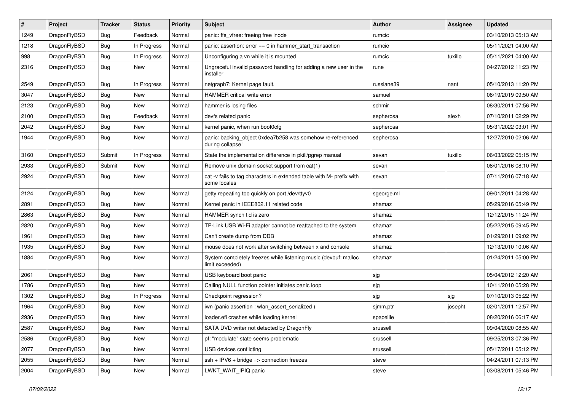| $\sharp$ | Project      | <b>Tracker</b> | <b>Status</b> | <b>Priority</b> | Subject                                                                              | Author     | Assignee | <b>Updated</b>      |
|----------|--------------|----------------|---------------|-----------------|--------------------------------------------------------------------------------------|------------|----------|---------------------|
| 1249     | DragonFlyBSD | Bug            | Feedback      | Normal          | panic: ffs_vfree: freeing free inode                                                 | rumcic     |          | 03/10/2013 05:13 AM |
| 1218     | DragonFlyBSD | Bug            | In Progress   | Normal          | panic: assertion: error == 0 in hammer_start_transaction                             | rumcic     |          | 05/11/2021 04:00 AM |
| 998      | DragonFlyBSD | <b>Bug</b>     | In Progress   | Normal          | Unconfiguring a vn while it is mounted                                               | rumcic     | tuxillo  | 05/11/2021 04:00 AM |
| 2316     | DragonFlyBSD | <b>Bug</b>     | New           | Normal          | Ungraceful invalid password handling for adding a new user in the<br>installer       | rune       |          | 04/27/2012 11:23 PM |
| 2549     | DragonFlyBSD | Bug            | In Progress   | Normal          | netgraph7: Kernel page fault.                                                        | russiane39 | nant     | 05/10/2013 11:20 PM |
| 3047     | DragonFlyBSD | Bug            | <b>New</b>    | Normal          | HAMMER critical write error                                                          | samuel     |          | 06/19/2019 09:50 AM |
| 2123     | DragonFlyBSD | Bug            | New           | Normal          | hammer is losing files                                                               | schmir     |          | 08/30/2011 07:56 PM |
| 2100     | DragonFlyBSD | Bug            | Feedback      | Normal          | devfs related panic                                                                  | sepherosa  | alexh    | 07/10/2011 02:29 PM |
| 2042     | DragonFlyBSD | Bug            | New           | Normal          | kernel panic, when run boot0cfg                                                      | sepherosa  |          | 05/31/2022 03:01 PM |
| 1944     | DragonFlyBSD | <b>Bug</b>     | New           | Normal          | panic: backing_object 0xdea7b258 was somehow re-referenced<br>during collapse!       | sepherosa  |          | 12/27/2010 02:06 AM |
| 3160     | DragonFlyBSD | Submit         | In Progress   | Normal          | State the implementation difference in pkill/pgrep manual                            | sevan      | tuxillo  | 06/03/2022 05:15 PM |
| 2933     | DragonFlyBSD | Submit         | New           | Normal          | Remove unix domain socket support from cat(1)                                        | sevan      |          | 08/01/2016 08:10 PM |
| 2924     | DragonFlyBSD | <b>Bug</b>     | New           | Normal          | cat -v fails to tag characters in extended table with M- prefix with<br>some locales | sevan      |          | 07/11/2016 07:18 AM |
| 2124     | DragonFlyBSD | Bug            | <b>New</b>    | Normal          | getty repeating too quickly on port /dev/ttyv0                                       | sgeorge.ml |          | 09/01/2011 04:28 AM |
| 2891     | DragonFlyBSD | Bug            | <b>New</b>    | Normal          | Kernel panic in IEEE802.11 related code                                              | shamaz     |          | 05/29/2016 05:49 PM |
| 2863     | DragonFlyBSD | Bug            | New           | Normal          | HAMMER synch tid is zero                                                             | shamaz     |          | 12/12/2015 11:24 PM |
| 2820     | DragonFlyBSD | Bug            | <b>New</b>    | Normal          | TP-Link USB Wi-Fi adapter cannot be reattached to the system                         | shamaz     |          | 05/22/2015 09:45 PM |
| 1961     | DragonFlyBSD | Bug            | New           | Normal          | Can't create dump from DDB                                                           | shamaz     |          | 01/29/2011 09:02 PM |
| 1935     | DragonFlyBSD | Bug            | New           | Normal          | mouse does not work after switching between x and console                            | shamaz     |          | 12/13/2010 10:06 AM |
| 1884     | DragonFlyBSD | Bug            | New           | Normal          | System completely freezes while listening music (devbuf: malloc<br>limit exceeded)   | shamaz     |          | 01/24/2011 05:00 PM |
| 2061     | DragonFlyBSD | Bug            | New           | Normal          | USB keyboard boot panic                                                              | sjg        |          | 05/04/2012 12:20 AM |
| 1786     | DragonFlyBSD | Bug            | New           | Normal          | Calling NULL function pointer initiates panic loop                                   | sjg        |          | 10/11/2010 05:28 PM |
| 1302     | DragonFlyBSD | <b>Bug</b>     | In Progress   | Normal          | Checkpoint regression?                                                               | sjg        | sjg      | 07/10/2013 05:22 PM |
| 1964     | DragonFlyBSD | Bug            | New           | Normal          | iwn (panic assertion : wlan_assert_serialized)                                       | sjmm.ptr   | josepht  | 02/01/2011 12:57 PM |
| 2936     | DragonFlyBSD | Bug            | New           | Normal          | loader.efi crashes while loading kernel                                              | spaceille  |          | 08/20/2016 06:17 AM |
| 2587     | DragonFlyBSD | <b>Bug</b>     | New           | Normal          | SATA DVD writer not detected by DragonFly                                            | srussell   |          | 09/04/2020 08:55 AM |
| 2586     | DragonFlyBSD | <b>Bug</b>     | <b>New</b>    | Normal          | pf: "modulate" state seems problematic                                               | srussell   |          | 09/25/2013 07:36 PM |
| 2077     | DragonFlyBSD | <b>Bug</b>     | New           | Normal          | USB devices conflicting                                                              | srussell   |          | 05/17/2011 05:12 PM |
| 2055     | DragonFlyBSD | <b>Bug</b>     | New           | Normal          | ssh + IPV6 + bridge => connection freezes                                            | steve      |          | 04/24/2011 07:13 PM |
| 2004     | DragonFlyBSD | <b>Bug</b>     | New           | Normal          | LWKT_WAIT_IPIQ panic                                                                 | steve      |          | 03/08/2011 05:46 PM |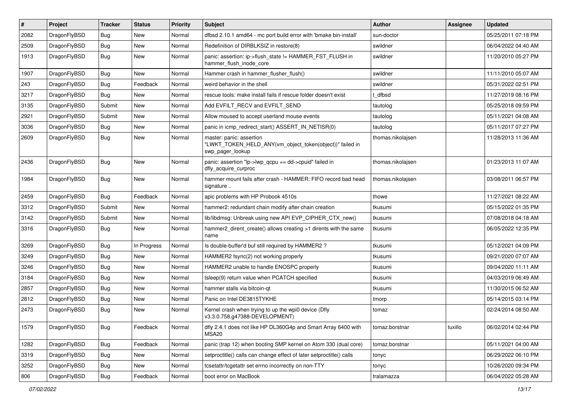| #    | Project      | <b>Tracker</b> | <b>Status</b> | <b>Priority</b> | Subject                                                                                                  | Author            | Assignee | <b>Updated</b>      |
|------|--------------|----------------|---------------|-----------------|----------------------------------------------------------------------------------------------------------|-------------------|----------|---------------------|
| 2082 | DragonFlyBSD | Bug            | <b>New</b>    | Normal          | dfbsd 2.10.1 amd64 - mc port build error with 'bmake bin-install'                                        | sun-doctor        |          | 05/25/2011 07:18 PM |
| 2509 | DragonFlyBSD | Bug            | <b>New</b>    | Normal          | Redefinition of DIRBLKSIZ in restore(8)                                                                  | swildner          |          | 06/04/2022 04:40 AM |
| 1913 | DragonFlyBSD | <b>Bug</b>     | <b>New</b>    | Normal          | panic: assertion: ip->flush_state != HAMMER_FST_FLUSH in<br>hammer_flush_inode_core                      | swildner          |          | 11/20/2010 05:27 PM |
| 1907 | DragonFlyBSD | Bug            | <b>New</b>    | Normal          | Hammer crash in hammer_flusher_flush()                                                                   | swildner          |          | 11/11/2010 05:07 AM |
| 243  | DragonFlyBSD | <b>Bug</b>     | Feedback      | Normal          | weird behavior in the shell                                                                              | swildner          |          | 05/31/2022 02:51 PM |
| 3217 | DragonFlyBSD | Bug            | <b>New</b>    | Normal          | rescue tools: make install fails if rescue folder doesn't exist                                          | t dfbsd           |          | 11/27/2019 08:16 PM |
| 3135 | DragonFlyBSD | Submit         | New           | Normal          | Add EVFILT_RECV and EVFILT_SEND                                                                          | tautolog          |          | 05/25/2018 09:59 PM |
| 2921 | DragonFlyBSD | Submit         | New           | Normal          | Allow moused to accept userland mouse events                                                             | tautolog          |          | 05/11/2021 04:08 AM |
| 3036 | DragonFlyBSD | Bug            | <b>New</b>    | Normal          | panic in icmp_redirect_start() ASSERT_IN_NETISR(0)                                                       | tautolog          |          | 05/11/2017 07:27 PM |
| 2609 | DragonFlyBSD | Bug            | <b>New</b>    | Normal          | master: panic: assertion<br>"LWKT_TOKEN_HELD_ANY(vm_object_token(object))" failed in<br>swp_pager_lookup | thomas.nikolajsen |          | 11/28/2013 11:36 AM |
| 2436 | DragonFlyBSD | Bug            | <b>New</b>    | Normal          | panic: assertion "lp->lwp_qcpu == dd->cpuid" failed in<br>dfly_acquire_curproc                           | thomas.nikolajsen |          | 01/23/2013 11:07 AM |
| 1984 | DragonFlyBSD | <b>Bug</b>     | New           | Normal          | hammer mount fails after crash - HAMMER: FIFO record bad head<br>signature                               | thomas.nikolajsen |          | 03/08/2011 06:57 PM |
| 2459 | DragonFlyBSD | <b>Bug</b>     | Feedback      | Normal          | apic problems with HP Probook 4510s                                                                      | thowe             |          | 11/27/2021 08:22 AM |
| 3312 | DragonFlyBSD | Submit         | New           | Normal          | hammer2: redundant chain modify after chain creation                                                     | tkusumi           |          | 05/15/2022 01:35 PM |
| 3142 | DragonFlyBSD | Submit         | New           | Normal          | lib/libdmsg: Unbreak using new API EVP CIPHER CTX new()                                                  | tkusumi           |          | 07/08/2018 04:18 AM |
| 3316 | DragonFlyBSD | Bug            | <b>New</b>    | Normal          | hammer2_dirent_create() allows creating >1 dirents with the same<br>name                                 | tkusumi           |          | 06/05/2022 12:35 PM |
| 3269 | DragonFlyBSD | <b>Bug</b>     | In Progress   | Normal          | Is double-buffer'd buf still required by HAMMER2 ?                                                       | tkusumi           |          | 05/12/2021 04:09 PM |
| 3249 | DragonFlyBSD | <b>Bug</b>     | <b>New</b>    | Normal          | HAMMER2 fsync(2) not working properly                                                                    | tkusumi           |          | 09/21/2020 07:07 AM |
| 3246 | DragonFlyBSD | <b>Bug</b>     | <b>New</b>    | Normal          | HAMMER2 unable to handle ENOSPC properly                                                                 | tkusumi           |          | 09/04/2020 11:11 AM |
| 3184 | DragonFlyBSD | <b>Bug</b>     | <b>New</b>    | Normal          | tsleep(9) return value when PCATCH specified                                                             | tkusumi           |          | 04/03/2019 06:49 AM |
| 2857 | DragonFlyBSD | <b>Bug</b>     | <b>New</b>    | Normal          | hammer stalls via bitcoin-qt                                                                             | tkusumi           |          | 11/30/2015 06:52 AM |
| 2812 | DragonFlyBSD | <b>Bug</b>     | New           | Normal          | Panic on Intel DE3815TYKHE                                                                               | tmorp             |          | 05/14/2015 03:14 PM |
| 2473 | DragonFlyBSD | <b>Bug</b>     | <b>New</b>    | Normal          | Kernel crash when trying to up the wpi0 device (Dfly<br>v3.3.0.758.g47388-DEVELOPMENT)                   | tomaz             |          | 02/24/2014 08:50 AM |
| 1579 | DragonFlyBSD | Bug            | Feedback      | Normal          | dfly 2.4.1 does not like HP DL360G4p and Smart Array 6400 with<br>MSA <sub>20</sub>                      | tomaz.borstnar    | tuxillo  | 06/02/2014 02:44 PM |
| 1282 | DragonFlyBSD | <b>Bug</b>     | Feedback      | Normal          | panic (trap 12) when booting SMP kernel on Atom 330 (dual core)                                          | tomaz.borstnar    |          | 05/11/2021 04:00 AM |
| 3319 | DragonFlyBSD | <b>Bug</b>     | New           | Normal          | setproctitle() calls can change effect of later setproctitle() calls                                     | tonyc             |          | 06/29/2022 06:10 PM |
| 3252 | DragonFlyBSD | <b>Bug</b>     | New           | Normal          | tcsetattr/tcgetattr set errno incorrectly on non-TTY                                                     | tonyc             |          | 10/26/2020 09:34 PM |
| 806  | DragonFlyBSD | Bug            | Feedback      | Normal          | boot error on MacBook                                                                                    | tralamazza        |          | 06/04/2022 05:28 AM |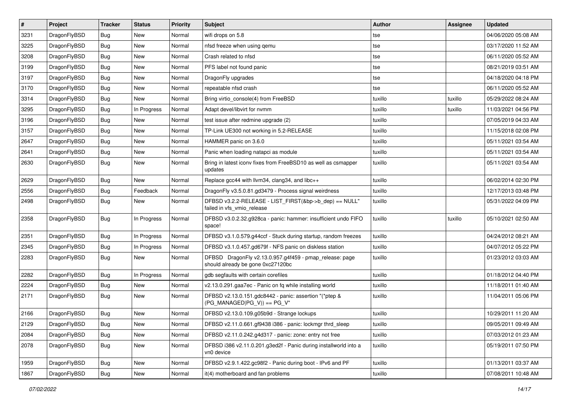| $\pmb{\#}$ | Project      | <b>Tracker</b> | <b>Status</b> | <b>Priority</b> | Subject                                                                                      | <b>Author</b> | Assignee | <b>Updated</b>      |
|------------|--------------|----------------|---------------|-----------------|----------------------------------------------------------------------------------------------|---------------|----------|---------------------|
| 3231       | DragonFlyBSD | Bug            | <b>New</b>    | Normal          | wifi drops on 5.8                                                                            | tse           |          | 04/06/2020 05:08 AM |
| 3225       | DragonFlyBSD | Bug            | <b>New</b>    | Normal          | nfsd freeze when using qemu                                                                  | tse           |          | 03/17/2020 11:52 AM |
| 3208       | DragonFlyBSD | Bug            | New           | Normal          | Crash related to nfsd                                                                        | tse           |          | 06/11/2020 05:52 AM |
| 3199       | DragonFlyBSD | Bug            | New           | Normal          | PFS label not found panic                                                                    | tse           |          | 08/21/2019 03:51 AM |
| 3197       | DragonFlyBSD | <b>Bug</b>     | <b>New</b>    | Normal          | DragonFly upgrades                                                                           | tse           |          | 04/18/2020 04:18 PM |
| 3170       | DragonFlyBSD | <b>Bug</b>     | New           | Normal          | repeatable nfsd crash                                                                        | tse           |          | 06/11/2020 05:52 AM |
| 3314       | DragonFlyBSD | Bug            | <b>New</b>    | Normal          | Bring virtio_console(4) from FreeBSD                                                         | tuxillo       | tuxillo  | 05/29/2022 08:24 AM |
| 3295       | DragonFlyBSD | Bug            | In Progress   | Normal          | Adapt devel/libvirt for nvmm                                                                 | tuxillo       | tuxillo  | 11/03/2021 04:56 PM |
| 3196       | DragonFlyBSD | Bug            | New           | Normal          | test issue after redmine upgrade (2)                                                         | tuxillo       |          | 07/05/2019 04:33 AM |
| 3157       | DragonFlyBSD | Bug            | <b>New</b>    | Normal          | TP-Link UE300 not working in 5.2-RELEASE                                                     | tuxillo       |          | 11/15/2018 02:08 PM |
| 2647       | DragonFlyBSD | <b>Bug</b>     | New           | Normal          | HAMMER panic on 3.6.0                                                                        | tuxillo       |          | 05/11/2021 03:54 AM |
| 2641       | DragonFlyBSD | Bug            | New           | Normal          | Panic when loading natapci as module                                                         | tuxillo       |          | 05/11/2021 03:54 AM |
| 2630       | DragonFlyBSD | Bug            | New           | Normal          | Bring in latest iconv fixes from FreeBSD10 as well as csmapper<br>updates                    | tuxillo       |          | 05/11/2021 03:54 AM |
| 2629       | DragonFlyBSD | Bug            | New           | Normal          | Replace gcc44 with llvm34, clang34, and libc++                                               | tuxillo       |          | 06/02/2014 02:30 PM |
| 2556       | DragonFlyBSD | <b>Bug</b>     | Feedback      | Normal          | DragonFly v3.5.0.81.gd3479 - Process signal weirdness                                        | tuxillo       |          | 12/17/2013 03:48 PM |
| 2498       | DragonFlyBSD | Bug            | New           | Normal          | DFBSD v3.2.2-RELEASE - LIST_FIRST(&bp->b_dep) == NULL"<br>failed in vfs_vmio_release         | tuxillo       |          | 05/31/2022 04:09 PM |
| 2358       | DragonFlyBSD | Bug            | In Progress   | Normal          | DFBSD v3.0.2.32.g928ca - panic: hammer: insufficient undo FIFO<br>space!                     | tuxillo       | tuxillo  | 05/10/2021 02:50 AM |
| 2351       | DragonFlyBSD | <b>Bug</b>     | In Progress   | Normal          | DFBSD v3.1.0.579.g44ccf - Stuck during startup, random freezes                               | tuxillo       |          | 04/24/2012 08:21 AM |
| 2345       | DragonFlyBSD | Bug            | In Progress   | Normal          | DFBSD v3.1.0.457.gd679f - NFS panic on diskless station                                      | tuxillo       |          | 04/07/2012 05:22 PM |
| 2283       | DragonFlyBSD | Bug            | New           | Normal          | DFBSD DragonFly v2.13.0.957.g4f459 - pmap_release: page<br>should already be gone 0xc27120bc | tuxillo       |          | 01/23/2012 03:03 AM |
| 2282       | DragonFlyBSD | Bug            | In Progress   | Normal          | gdb segfaults with certain corefiles                                                         | tuxillo       |          | 01/18/2012 04:40 PM |
| 2224       | DragonFlyBSD | <b>Bug</b>     | <b>New</b>    | Normal          | v2.13.0.291.gaa7ec - Panic on fq while installing world                                      | tuxillo       |          | 11/18/2011 01:40 AM |
| 2171       | DragonFlyBSD | Bug            | New           | Normal          | DFBSD v2.13.0.151.gdc8442 - panic: assertion "(*ptep &<br>$(PG_MANAGED PG_V)) == PG_V"$      | tuxillo       |          | 11/04/2011 05:06 PM |
| 2166       | DragonFlyBSD | <b>Bug</b>     | <b>New</b>    | Normal          | DFBSD v2.13.0.109.g05b9d - Strange lockups                                                   | tuxillo       |          | 10/29/2011 11:20 AM |
| 2129       | DragonFlyBSD | <b>Bug</b>     | New           | Normal          | DFBSD v2.11.0.661.gf9438 i386 - panic: lockmgr thrd_sleep                                    | tuxillo       |          | 09/05/2011 09:49 AM |
| 2084       | DragonFlyBSD | Bug            | New           | Normal          | DFBSD v2.11.0.242.g4d317 - panic: zone: entry not free                                       | tuxillo       |          | 07/03/2012 01:23 AM |
| 2078       | DragonFlyBSD | <b>Bug</b>     | New           | Normal          | DFBSD i386 v2.11.0.201.g3ed2f - Panic during installworld into a<br>vn0 device               | tuxillo       |          | 05/19/2011 07:50 PM |
| 1959       | DragonFlyBSD | <b>Bug</b>     | New           | Normal          | DFBSD v2.9.1.422.gc98f2 - Panic during boot - IPv6 and PF                                    | tuxillo       |          | 01/13/2011 03:37 AM |
| 1867       | DragonFlyBSD | Bug            | New           | Normal          | it(4) motherboard and fan problems                                                           | tuxillo       |          | 07/08/2011 10:48 AM |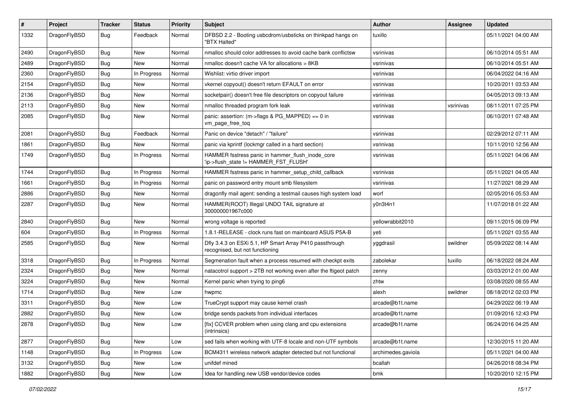| #    | Project      | <b>Tracker</b> | <b>Status</b> | <b>Priority</b> | <b>Subject</b>                                                                             | Author             | Assignee  | <b>Updated</b>      |
|------|--------------|----------------|---------------|-----------------|--------------------------------------------------------------------------------------------|--------------------|-----------|---------------------|
| 1332 | DragonFlyBSD | Bug            | Feedback      | Normal          | DFBSD 2.2 - Booting usbcdrom/usbsticks on thinkpad hangs on<br>"BTX Halted"                | tuxillo            |           | 05/11/2021 04:00 AM |
| 2490 | DragonFlyBSD | Bug            | <b>New</b>    | Normal          | nmalloc should color addresses to avoid cache bank conflictsw                              | vsrinivas          |           | 06/10/2014 05:51 AM |
| 2489 | DragonFlyBSD | <b>Bug</b>     | New           | Normal          | nmalloc doesn't cache VA for allocations > 8KB                                             | vsrinivas          |           | 06/10/2014 05:51 AM |
| 2360 | DragonFlyBSD | Bug            | In Progress   | Normal          | Wishlist: virtio driver import                                                             | vsrinivas          |           | 06/04/2022 04:16 AM |
| 2154 | DragonFlyBSD | <b>Bug</b>     | New           | Normal          | vkernel copyout() doesn't return EFAULT on error                                           | vsrinivas          |           | 10/20/2011 03:53 AM |
| 2136 | DragonFlyBSD | <b>Bug</b>     | <b>New</b>    | Normal          | socketpair() doesn't free file descriptors on copyout failure                              | vsrinivas          |           | 04/05/2013 09:13 AM |
| 2113 | DragonFlyBSD | <b>Bug</b>     | New           | Normal          | nmalloc threaded program fork leak                                                         | vsrinivas          | vsrinivas | 08/11/2011 07:25 PM |
| 2085 | DragonFlyBSD | Bug            | New           | Normal          | panic: assertion: (m->flags & PG_MAPPED) == 0 in<br>vm_page_free_toq                       | vsrinivas          |           | 06/10/2011 07:48 AM |
| 2081 | DragonFlyBSD | Bug            | Feedback      | Normal          | Panic on device "detach" / "failure"                                                       | vsrinivas          |           | 02/29/2012 07:11 AM |
| 1861 | DragonFlyBSD | <b>Bug</b>     | New           | Normal          | panic via kprintf (lockmgr called in a hard section)                                       | vsrinivas          |           | 10/11/2010 12:56 AM |
| 1749 | DragonFlyBSD | Bug            | In Progress   | Normal          | HAMMER fsstress panic in hammer_flush_inode_core<br>'ip->flush_state != HAMMER_FST_FLUSH'  | vsrinivas          |           | 05/11/2021 04:06 AM |
| 1744 | DragonFlyBSD | Bug            | In Progress   | Normal          | HAMMER fsstress panic in hammer_setup_child_callback                                       | vsrinivas          |           | 05/11/2021 04:05 AM |
| 1661 | DragonFlyBSD | <b>Bug</b>     | In Progress   | Normal          | panic on password entry mount smb filesystem                                               | vsrinivas          |           | 11/27/2021 08:29 AM |
| 2886 | DragonFlyBSD | <b>Bug</b>     | <b>New</b>    | Normal          | dragonfly mail agent: sending a testmail causes high system load                           | worf               |           | 02/05/2016 05:53 AM |
| 2287 | DragonFlyBSD | Bug            | New           | Normal          | HAMMER(ROOT) Illegal UNDO TAIL signature at<br>300000001967c000                            | y0n3t4n1           |           | 11/07/2018 01:22 AM |
| 2840 | DragonFlyBSD | Bug            | New           | Normal          | wrong voltage is reported                                                                  | yellowrabbit2010   |           | 09/11/2015 06:09 PM |
| 604  | DragonFlyBSD | <b>Bug</b>     | In Progress   | Normal          | 1.8.1-RELEASE - clock runs fast on mainboard ASUS P5A-B                                    | yeti               |           | 05/11/2021 03:55 AM |
| 2585 | DragonFlyBSD | <b>Bug</b>     | New           | Normal          | Dfly 3.4.3 on ESXi 5.1, HP Smart Array P410 passthrough<br>recognised, but not functioning | yggdrasil          | swildner  | 05/09/2022 08:14 AM |
| 3318 | DragonFlyBSD | <b>Bug</b>     | In Progress   | Normal          | Segmenation fault when a process resumed with checkpt exits                                | zabolekar          | tuxillo   | 06/18/2022 08:24 AM |
| 2324 | DragonFlyBSD | <b>Bug</b>     | <b>New</b>    | Normal          | natacotrol support > 2TB not working even after the ftigeot patch                          | zenny              |           | 03/03/2012 01:00 AM |
| 3224 | DragonFlyBSD | <b>Bug</b>     | <b>New</b>    | Normal          | Kernel panic when trying to ping6                                                          | zhtw               |           | 03/08/2020 08:55 AM |
| 1714 | DragonFlyBSD | Bug            | New           | Low             | hwpmc                                                                                      | alexh              | swildner  | 08/18/2012 02:03 PM |
| 3311 | DragonFlyBSD | <b>Bug</b>     | New           | Low             | TrueCrypt support may cause kernel crash                                                   | arcade@b1t.name    |           | 04/29/2022 06:19 AM |
| 2882 | DragonFlyBSD | <b>Bug</b>     | New           | Low             | bridge sends packets from individual interfaces                                            | arcade@b1t.name    |           | 01/09/2016 12:43 PM |
| 2878 | DragonFlyBSD | <b>Bug</b>     | New           | Low             | [fix] CCVER problem when using clang and cpu extensions<br>(intrinsics)                    | arcade@b1t.name    |           | 06/24/2016 04:25 AM |
| 2877 | DragonFlyBSD | <b>Bug</b>     | New           | Low             | sed fails when working with UTF-8 locale and non-UTF symbols                               | arcade@b1t.name    |           | 12/30/2015 11:20 AM |
| 1148 | DragonFlyBSD | <b>Bug</b>     | In Progress   | Low             | BCM4311 wireless network adapter detected but not functional                               | archimedes.gaviola |           | 05/11/2021 04:00 AM |
| 3132 | DragonFlyBSD | <b>Bug</b>     | New           | Low             | unifdef mined                                                                              | bcallah            |           | 04/26/2018 08:34 PM |
| 1882 | DragonFlyBSD | <b>Bug</b>     | New           | Low             | Idea for handling new USB vendor/device codes                                              | bmk                |           | 10/20/2010 12:15 PM |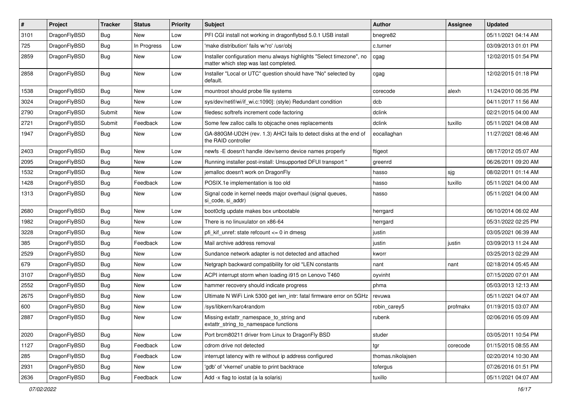| $\sharp$ | Project      | <b>Tracker</b> | <b>Status</b> | <b>Priority</b> | Subject                                                                                                       | Author            | Assignee | <b>Updated</b>      |
|----------|--------------|----------------|---------------|-----------------|---------------------------------------------------------------------------------------------------------------|-------------------|----------|---------------------|
| 3101     | DragonFlyBSD | Bug            | New           | Low             | PFI CGI install not working in dragonflybsd 5.0.1 USB install                                                 | bnegre82          |          | 05/11/2021 04:14 AM |
| 725      | DragonFlyBSD | Bug            | In Progress   | Low             | 'make distribution' fails w/'ro' /usr/obj                                                                     | c.turner          |          | 03/09/2013 01:01 PM |
| 2859     | DragonFlyBSD | <b>Bug</b>     | New           | Low             | Installer configuration menu always highlights "Select timezone", no<br>matter which step was last completed. | cgag              |          | 12/02/2015 01:54 PM |
| 2858     | DragonFlyBSD | <b>Bug</b>     | New           | Low             | Installer "Local or UTC" question should have "No" selected by<br>default.                                    | cgag              |          | 12/02/2015 01:18 PM |
| 1538     | DragonFlyBSD | <b>Bug</b>     | New           | Low             | mountroot should probe file systems                                                                           | corecode          | alexh    | 11/24/2010 06:35 PM |
| 3024     | DragonFlyBSD | <b>Bug</b>     | New           | Low             | sys/dev/netif/wi/if_wi.c:1090]: (style) Redundant condition                                                   | dcb               |          | 04/11/2017 11:56 AM |
| 2790     | DragonFlyBSD | Submit         | New           | Low             | filedesc softrefs increment code factoring                                                                    | dclink            |          | 02/21/2015 04:00 AM |
| 2721     | DragonFlyBSD | Submit         | Feedback      | Low             | Some few zalloc calls to objcache ones replacements                                                           | dclink            | tuxillo  | 05/11/2021 04:08 AM |
| 1947     | DragonFlyBSD | Bug            | New           | Low             | GA-880GM-UD2H (rev. 1.3) AHCI fails to detect disks at the end of<br>the RAID controller                      | eocallaghan       |          | 11/27/2021 08:46 AM |
| 2403     | DragonFlyBSD | <b>Bug</b>     | <b>New</b>    | Low             | newfs -E doesn't handle /dev/serno device names properly                                                      | ftigeot           |          | 08/17/2012 05:07 AM |
| 2095     | DragonFlyBSD | <b>Bug</b>     | New           | Low             | Running installer post-install: Unsupported DFUI transport "                                                  | greenrd           |          | 06/26/2011 09:20 AM |
| 1532     | DragonFlyBSD | <b>Bug</b>     | New           | Low             | jemalloc doesn't work on DragonFly                                                                            | hasso             | sjg      | 08/02/2011 01:14 AM |
| 1428     | DragonFlyBSD | <b>Bug</b>     | Feedback      | Low             | POSIX.1e implementation is too old                                                                            | hasso             | tuxillo  | 05/11/2021 04:00 AM |
| 1313     | DragonFlyBSD | <b>Bug</b>     | New           | Low             | Signal code in kernel needs major overhaul (signal queues,<br>si code, si addr)                               | hasso             |          | 05/11/2021 04:00 AM |
| 2680     | DragonFlyBSD | <b>Bug</b>     | <b>New</b>    | Low             | boot0cfg update makes box unbootable                                                                          | herrgard          |          | 06/10/2014 06:02 AM |
| 1982     | DragonFlyBSD | <b>Bug</b>     | New           | Low             | There is no linuxulator on x86-64                                                                             | herrgard          |          | 05/31/2022 02:25 PM |
| 3228     | DragonFlyBSD | <b>Bug</b>     | <b>New</b>    | Low             | pfi kif unref: state refcount $\leq$ 0 in dmesg                                                               | justin            |          | 03/05/2021 06:39 AM |
| 385      | DragonFlyBSD | <b>Bug</b>     | Feedback      | Low             | Mail archive address removal                                                                                  | justin            | justin   | 03/09/2013 11:24 AM |
| 2529     | DragonFlyBSD | <b>Bug</b>     | <b>New</b>    | Low             | Sundance network adapter is not detected and attached                                                         | kworr             |          | 03/25/2013 02:29 AM |
| 679      | DragonFlyBSD | Bug            | <b>New</b>    | Low             | Netgraph backward compatibility for old *LEN constants                                                        | nant              | nant     | 02/18/2014 05:45 AM |
| 3107     | DragonFlyBSD | Bug            | New           | Low             | ACPI interrupt storm when loading i915 on Lenovo T460                                                         | oyvinht           |          | 07/15/2020 07:01 AM |
| 2552     | DragonFlyBSD | Bug            | <b>New</b>    | Low             | hammer recovery should indicate progress                                                                      | phma              |          | 05/03/2013 12:13 AM |
| 2675     | DragonFlyBSD | Bug            | New           | Low             | Ultimate N WiFi Link 5300 get iwn intr: fatal firmware error on 5GHz                                          | revuwa            |          | 05/11/2021 04:07 AM |
| 600      | DragonFlyBSD | Bug            | <b>New</b>    | Low             | /sys/libkern/karc4random                                                                                      | robin_carey5      | profmakx | 01/19/2015 03:07 AM |
| 2887     | DragonFlyBSD | Bug            | <b>New</b>    | Low             | Missing extattr_namespace_to_string and<br>extattr string to namespace functions                              | rubenk            |          | 02/06/2016 05:09 AM |
| 2020     | DragonFlyBSD | <b>Bug</b>     | New           | Low             | Port brcm80211 driver from Linux to DragonFly BSD                                                             | studer            |          | 03/05/2011 10:54 PM |
| 1127     | DragonFlyBSD | <b>Bug</b>     | Feedback      | Low             | cdrom drive not detected                                                                                      | tgr               | corecode | 01/15/2015 08:55 AM |
| 285      | DragonFlyBSD | <b>Bug</b>     | Feedback      | Low             | interrupt latency with re without ip address configured                                                       | thomas.nikolajsen |          | 02/20/2014 10:30 AM |
| 2931     | DragonFlyBSD | <b>Bug</b>     | New           | Low             | 'gdb' of 'vkernel' unable to print backtrace                                                                  | tofergus          |          | 07/26/2016 01:51 PM |
| 2636     | DragonFlyBSD | <b>Bug</b>     | Feedback      | Low             | Add -x flag to iostat (a la solaris)                                                                          | tuxillo           |          | 05/11/2021 04:07 AM |